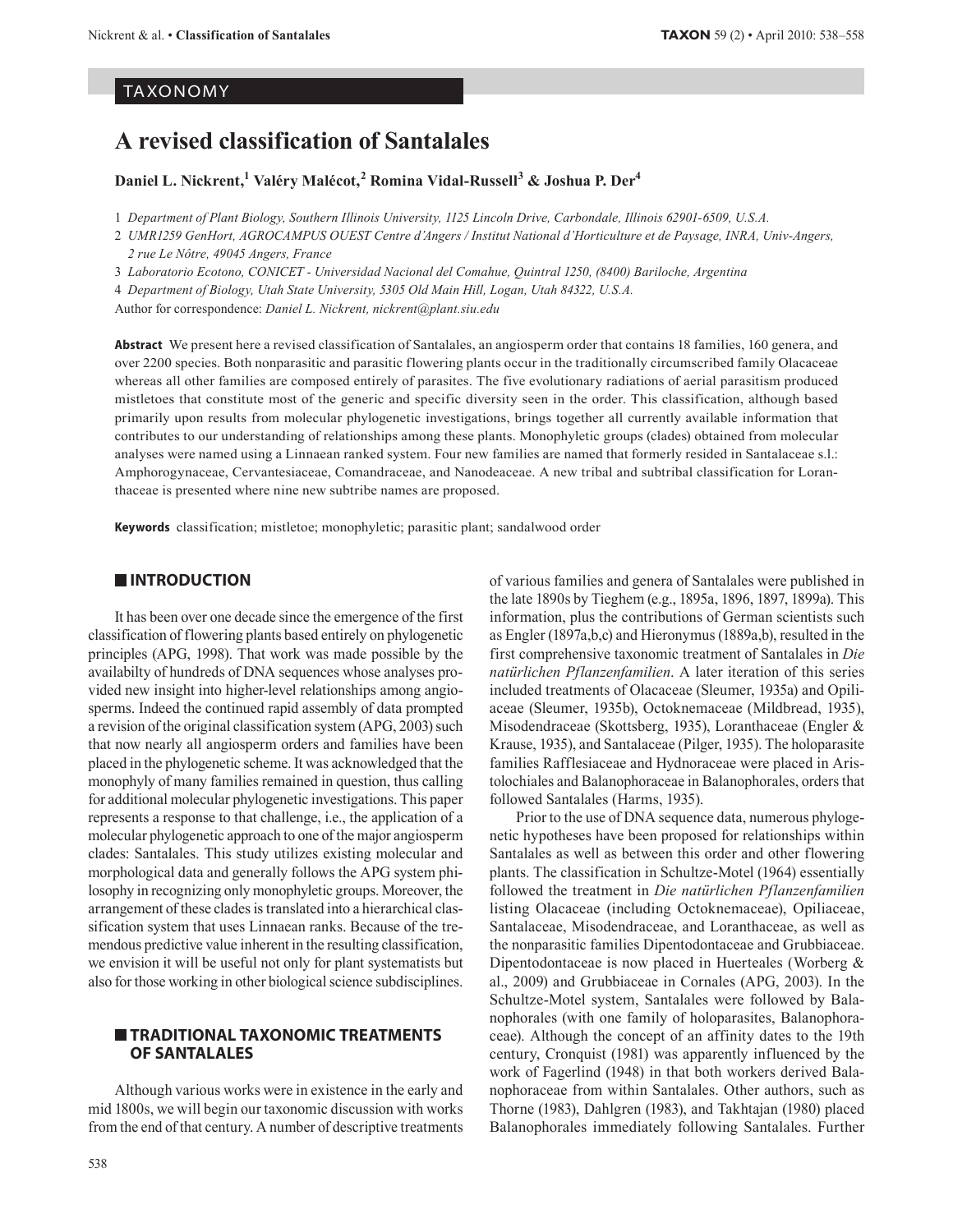# **TAXONOMY**

# **A revised classification of Santalales**

# **Daniel L. Nickrent,1 Valéry Malécot,<sup>2</sup> Romina Vidal-Russell<sup>3</sup> & Joshua P. Der4**

1 *Department of Plant Biology, Southern Illinois University, 1125 Lincoln Drive, Carbondale, Illinois 62901-6509, U.S.A.*

2 *UMR1259 GenHort, AGROCAMPUS OUEST Centre d'Angers / Institut National d'Horticulture et de Paysage, INRA, Univ-Angers, 2 rue Le Nôtre, 49045 Angers, France*

3 *Laboratorio Ecotono, CONICET - Universidad Nacional del Comahue, Quintral 1250, (8400) Bariloche, Argentina*

4 *Department of Biology, Utah State University, 5305 Old Main Hill, Logan, Utah 84322, U.S.A.*

Author for correspondence: *Daniel L. Nickrent, nickrent@plant.siu.edu*

**Abstract** We present here a revised classification of Santalales, an angiosperm order that contains 18 families, 160 genera, and over 2200 species. Both nonparasitic and parasitic flowering plants occur in the traditionally circumscribed family Olacaceae whereas all other families are composed entirely of parasites. The five evolutionary radiations of aerial parasitism produced mistletoes that constitute most of the generic and specific diversity seen in the order. This classification, although based primarily upon results from molecular phylogenetic investigations, brings together all currently available information that contributes to our understanding of relationships among these plants. Monophyletic groups (clades) obtained from molecular analyses were named using a Linnaean ranked system. Four new families are named that formerly resided in Santalaceae s.l.: Amphorogynaceae, Cervantesiaceae, Comandraceae, and Nanodeaceae. A new tribal and subtribal classification for Loranthaceae is presented where nine new subtribe names are proposed.

**Keywords** classification; mistletoe; monophyletic; parasitic plant; sandalwood order

#### **INTRODUCTION**

It has been over one decade since the emergence of the first classification of flowering plants based entirely on phylogenetic principles (APG, 1998). That work was made possible by the availabilty of hundreds of DNA sequences whose analyses provided new insight into higher-level relationships among angiosperms. Indeed the continued rapid assembly of data prompted a revision of the original classification system (APG, 2003) such that now nearly all angiosperm orders and families have been placed in the phylogenetic scheme. It was acknowledged that the monophyly of many families remained in question, thus calling for additional molecular phylogenetic investigations. This paper represents a response to that challenge, i.e., the application of a molecular phylogenetic approach to one of the major angiosperm clades: Santalales. This study utilizes existing molecular and morphological data and generally follows the APG system philosophy in recognizing only monophyletic groups. Moreover, the arrangement of these clades is translated into a hierarchical classification system that uses Linnaean ranks. Because of the tremendous predictive value inherent in the resulting classification, we envision it will be useful not only for plant systematists but also for those working in other biological science subdisciplines.

## **TRADITIONAL TAXONOMIC TREATMENTS OF SANTALALES**

Although various works were in existence in the early and mid 1800s, we will begin our taxonomic discussion with works from the end of that century. A number of descriptive treatments

538

of various families and genera of Santalales were published in the late 1890s by Tieghem (e.g., 1895a, 1896, 1897, 1899a). This information, plus the contributions of German scientists such as Engler (1897a,b,c) and Hieronymus (1889a,b), resulted in the first comprehensive taxonomic treatment of Santalales in *Die natürlichen Pflanzenfamilien*. A later iteration of this series included treatments of Olacaceae (Sleumer, 1935a) and Opiliaceae (Sleumer, 1935b), Octoknemaceae (Mildbread, 1935), Misodendraceae (Skottsberg, 1935), Loranthaceae (Engler & Krause, 1935), and Santalaceae (Pilger, 1935). The holoparasite families Rafflesiaceae and Hydnoraceae were placed in Aristolochiales and Balanophoraceae in Balanophorales, orders that followed Santalales (Harms, 1935).

Prior to the use of DNA sequence data, numerous phylogenetic hypotheses have been proposed for relationships within Santalales as well as between this order and other flowering plants. The classification in Schultze-Motel (1964) essentially followed the treatment in *Die natürlichen Pflanzenfamilien* listing Olacaceae (including Octoknemaceae), Opiliaceae, Santalaceae, Misodendraceae, and Loranthaceae, as well as the nonparasitic families Dipentodontaceae and Grubbiaceae. Dipentodontaceae is now placed in Huerteales (Worberg & al., 2009) and Grubbiaceae in Cornales (APG, 2003). In the Schultze-Motel system, Santalales were followed by Balanophorales (with one family of holoparasites, Balanophoraceae). Although the concept of an affinity dates to the 19th century, Cronquist (1981) was apparently influenced by the work of Fagerlind (1948) in that both workers derived Balanophoraceae from within Santalales. Other authors, such as Thorne (1983), Dahlgren (1983), and Takhtajan (1980) placed Balanophorales immediately following Santalales. Further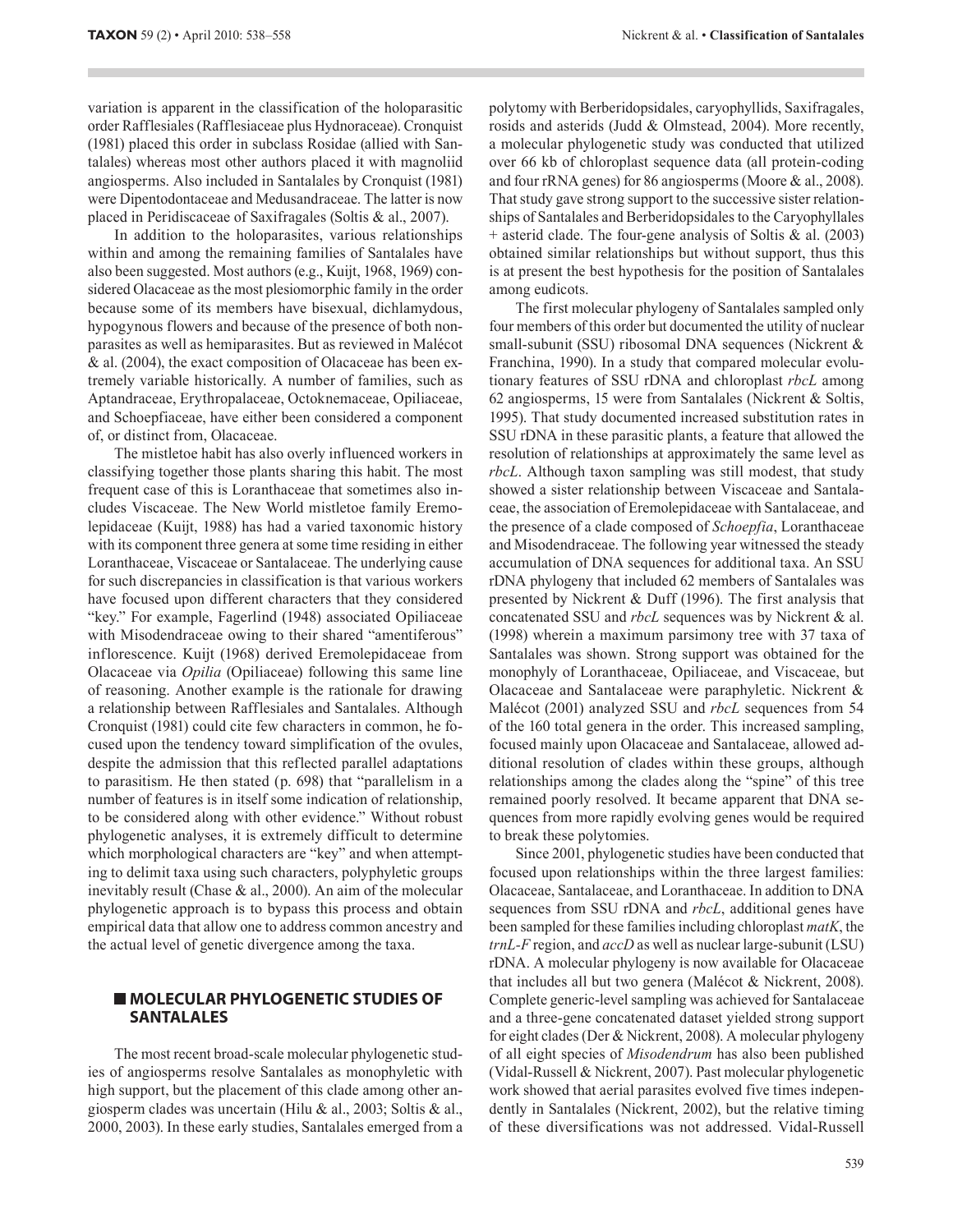variation is apparent in the classification of the holoparasitic order Rafflesiales (Rafflesiaceae plus Hydnoraceae). Cronquist (1981) placed this order in subclass Rosidae (allied with Santalales) whereas most other authors placed it with magnoliid angiosperms. Also included in Santalales by Cronquist (1981) were Dipentodontaceae and Medusandraceae. The latter is now placed in Peridiscaceae of Saxifragales (Soltis & al., 2007).

In addition to the holoparasites, various relationships within and among the remaining families of Santalales have also been suggested. Most authors (e.g., Kuijt, 1968, 1969) considered Olacaceae as the most plesiomorphic family in the order because some of its members have bisexual, dichlamydous, hypogynous flowers and because of the presence of both nonparasites as well as hemiparasites. But as reviewed in Malécot & al. (2004), the exact composition of Olacaceae has been extremely variable historically. A number of families, such as Aptandraceae, Erythropalaceae, Octoknemaceae, Opiliaceae, and Schoepfiaceae, have either been considered a component of, or distinct from, Olacaceae.

The mistletoe habit has also overly influenced workers in classifying together those plants sharing this habit. The most frequent case of this is Loranthaceae that sometimes also includes Viscaceae. The New World mistletoe family Eremolepidaceae (Kuijt, 1988) has had a varied taxonomic history with its component three genera at some time residing in either Loranthaceae, Viscaceae or Santalaceae. The underlying cause for such discrepancies in classification is that various workers have focused upon different characters that they considered "key." For example, Fagerlind (1948) associated Opiliaceae with Misodendraceae owing to their shared "amentiferous" inflorescence. Kuijt (1968) derived Eremolepidaceae from Olacaceae via *Opilia* (Opiliaceae) following this same line of reasoning. Another example is the rationale for drawing a relationship between Rafflesiales and Santalales. Although Cronquist (1981) could cite few characters in common, he focused upon the tendency toward simplification of the ovules, despite the admission that this reflected parallel adaptations to parasitism. He then stated  $(p. 698)$  that "parallelism in a number of features is in itself some indication of relationship, to be considered along with other evidence." Without robust phylogenetic analyses, it is extremely difficult to determine which morphological characters are "key" and when attempting to delimit taxa using such characters, polyphyletic groups inevitably result (Chase & al., 2000). An aim of the molecular phylogenetic approach is to bypass this process and obtain empirical data that allow one to address common ancestry and the actual level of genetic divergence among the taxa.

# **MOLECULAR PHYLOGENETIC STUDIES OF SANTALALES**

The most recent broad-scale molecular phylogenetic studies of angiosperms resolve Santalales as monophyletic with high support, but the placement of this clade among other angiosperm clades was uncertain (Hilu & al., 2003; Soltis & al., 2000, 2003). In these early studies, Santalales emerged from a polytomy with Berberidopsidales, caryophyllids, Saxifragales, rosids and asterids (Judd & Olmstead, 2004). More recently, a molecular phylogenetic study was conducted that utilized over 66 kb of chloroplast sequence data (all protein-coding and four rRNA genes) for 86 angiosperms (Moore & al., 2008). That study gave strong support to the successive sister relationships of Santalales and Berberidopsidales to the Caryophyllales + asterid clade. The four-gene analysis of Soltis & al. (2003) obtained similar relationships but without support, thus this is at present the best hypothesis for the position of Santalales among eudicots.

The first molecular phylogeny of Santalales sampled only four members of this order but documented the utility of nuclear small-subunit (SSU) ribosomal DNA sequences (Nickrent & Franchina, 1990). In a study that compared molecular evolutionary features of SSU rDNA and chloroplast *rbcL* among 62 angiosperms, 15 were from Santalales (Nickrent & Soltis, 1995). That study documented increased substitution rates in SSU rDNA in these parasitic plants, a feature that allowed the resolution of relationships at approximately the same level as *rbcL*. Although taxon sampling was still modest, that study showed a sister relationship between Viscaceae and Santalaceae, the association of Eremolepidaceae with Santalaceae, and the presence of a clade composed of *Schoepfia*, Loranthaceae and Misodendraceae. The following year witnessed the steady accumulation of DNA sequences for additional taxa. An SSU rDNA phylogeny that included 62 members of Santalales was presented by Nickrent & Duff (1996). The first analysis that concatenated SSU and *rbcL* sequences was by Nickrent & al. (1998) wherein a maximum parsimony tree with 37 taxa of Santalales was shown. Strong support was obtained for the monophyly of Loranthaceae, Opiliaceae, and Viscaceae, but Olacaceae and Santalaceae were paraphyletic. Nickrent & Malécot (2001) analyzed SSU and *rbcL* sequences from 54 of the 160 total genera in the order. This increased sampling, focused mainly upon Olacaceae and Santalaceae, allowed additional resolution of clades within these groups, although relationships among the clades along the "spine" of this tree remained poorly resolved. It became apparent that DNA sequences from more rapidly evolving genes would be required to break these polytomies.

Since 2001, phylogenetic studies have been conducted that focused upon relationships within the three largest families: Olacaceae, Santalaceae, and Loranthaceae. In addition to DNA sequences from SSU rDNA and *rbcL*, additional genes have been sampled for these families including chloroplast *matK*, the *trnL-F* region, and *accD* as well as nuclear large-subunit (LSU) rDNA. A molecular phylogeny is now available for Olacaceae that includes all but two genera (Malécot & Nickrent, 2008). Complete generic-level sampling was achieved for Santalaceae and a three-gene concatenated dataset yielded strong support for eight clades (Der & Nickrent, 2008). A molecular phylogeny of all eight species of *Misodendrum* has also been published (Vidal-Russell & Nickrent, 2007). Past molecular phylogenetic work showed that aerial parasites evolved five times independently in Santalales (Nickrent, 2002), but the relative timing of these diversifications was not addressed. Vidal-Russell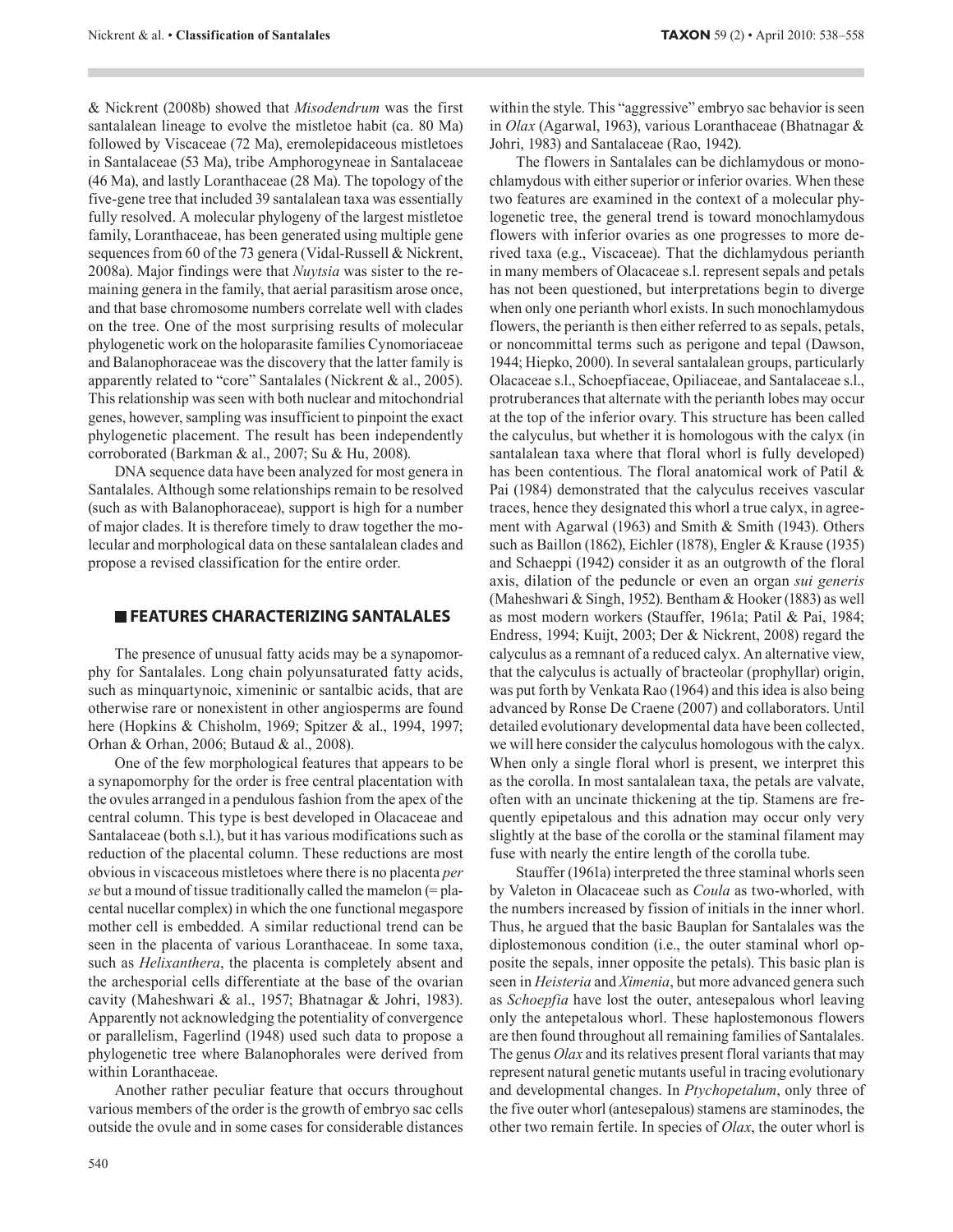& Nickrent (2008b) showed that *Misodendrum* was the first santalalean lineage to evolve the mistletoe habit (ca. 80 Ma) followed by Viscaceae (72 Ma), eremolepidaceous mistletoes in Santalaceae (53 Ma), tribe Amphorogyneae in Santalaceae (46 Ma), and lastly Loranthaceae (28 Ma). The topology of the five-gene tree that included 39 santalalean taxa was essentially fully resolved. A molecular phylogeny of the largest mistletoe family, Loranthaceae, has been generated using multiple gene sequences from 60 of the 73 genera (Vidal-Russell & Nickrent, 2008a). Major findings were that *Nuytsia* was sister to the remaining genera in the family, that aerial parasitism arose once, and that base chromosome numbers correlate well with clades on the tree. One of the most surprising results of molecular phylogenetic work on the holoparasite families Cynomoriaceae and Balanophoraceae was the discovery that the latter family is apparently related to "core" Santalales (Nickrent & al., 2005). This relationship was seen with both nuclear and mitochondrial genes, however, sampling was insufficient to pinpoint the exact phylogenetic placement. The result has been independently corroborated (Barkman & al., 2007; Su & Hu, 2008).

DNA sequence data have been analyzed for most genera in Santalales. Although some relationships remain to be resolved (such as with Balanophoraceae), support is high for a number of major clades. It is therefore timely to draw together the molecular and morphological data on these santalalean clades and propose a revised classification for the entire order.

# **FEATURES CHARACTERIZING SANTALALES**

The presence of unusual fatty acids may be a synapomorphy for Santalales. Long chain polyunsaturated fatty acids, such as minquartynoic, ximeninic or santalbic acids, that are otherwise rare or nonexistent in other angiosperms are found here (Hopkins & Chisholm, 1969; Spitzer & al., 1994, 1997; Orhan & Orhan, 2006; Butaud & al., 2008).

One of the few morphological features that appears to be a synapomorphy for the order is free central placentation with the ovules arranged in a pendulous fashion from the apex of the central column. This type is best developed in Olacaceae and Santalaceae (both s.l.), but it has various modifications such as reduction of the placental column. These reductions are most obvious in viscaceous mistletoes where there is no placenta *per se* but a mound of tissue traditionally called the mamelon (= placental nucellar complex) in which the one functional megaspore mother cell is embedded. A similar reductional trend can be seen in the placenta of various Loranthaceae. In some taxa, such as *Helixanthera*, the placenta is completely absent and the archesporial cells differentiate at the base of the ovarian cavity (Maheshwari & al., 1957; Bhatnagar & Johri, 1983). Apparently not acknowledging the potentiality of convergence or parallelism, Fagerlind (1948) used such data to propose a phylogenetic tree where Balanophorales were derived from within Loranthaceae.

Another rather peculiar feature that occurs throughout various members of the order is the growth of embryo sac cells outside the ovule and in some cases for considerable distances

within the style. This "aggressive" embryo sac behavior is seen in *Olax* (Agarwal, 1963), various Loranthaceae (Bhatnagar & Johri, 1983) and Santalaceae (Rao, 1942).

The flowers in Santalales can be dichlamydous or monochlamydous with either superior or inferior ovaries. When these two features are examined in the context of a molecular phylogenetic tree, the general trend is toward monochlamydous flowers with inferior ovaries as one progresses to more derived taxa (e.g., Viscaceae). That the dichlamydous perianth in many members of Olacaceae s.l. represent sepals and petals has not been questioned, but interpretations begin to diverge when only one perianth whorl exists. In such monochlamydous flowers, the perianth is then either referred to as sepals, petals, or noncommittal terms such as perigone and tepal (Dawson, 1944; Hiepko, 2000). In several santalalean groups, particularly Olacaceae s.l., Schoepfiaceae, Opiliaceae, and Santalaceae s.l., protruberances that alternate with the perianth lobes may occur at the top of the inferior ovary. This structure has been called the calyculus, but whether it is homologous with the calyx (in santalalean taxa where that floral whorl is fully developed) has been contentious. The floral anatomical work of Patil & Pai (1984) demonstrated that the calyculus receives vascular traces, hence they designated this whorl a true calyx, in agreement with Agarwal (1963) and Smith & Smith (1943). Others such as Baillon (1862), Eichler (1878), Engler & Krause (1935) and Schaeppi (1942) consider it as an outgrowth of the floral axis, dilation of the peduncle or even an organ *sui generis* (Maheshwari & Singh, 1952). Bentham & Hooker (1883) as well as most modern workers (Stauffer, 1961a; Patil & Pai, 1984; Endress, 1994; Kuijt, 2003; Der & Nickrent, 2008) regard the calyculus as a remnant of a reduced calyx. An alternative view, that the calyculus is actually of bracteolar (prophyllar) origin, was put forth by Venkata Rao (1964) and this idea is also being advanced by Ronse De Craene (2007) and collaborators. Until detailed evolutionary developmental data have been collected, we will here consider the calyculus homologous with the calyx. When only a single floral whorl is present, we interpret this as the corolla. In most santalalean taxa, the petals are valvate, often with an uncinate thickening at the tip. Stamens are frequently epipetalous and this adnation may occur only very slightly at the base of the corolla or the staminal filament may fuse with nearly the entire length of the corolla tube.

Stauffer (1961a) interpreted the three staminal whorls seen by Valeton in Olacaceae such as *Coula* as two-whorled, with the numbers increased by fission of initials in the inner whorl. Thus, he argued that the basic Bauplan for Santalales was the diplostemonous condition (i.e., the outer staminal whorl opposite the sepals, inner opposite the petals). This basic plan is seen in *Heisteria* and *Ximenia*, but more advanced genera such as *Schoepfia* have lost the outer, antesepalous whorl leaving only the antepetalous whorl. These haplostemonous flowers are then found throughout all remaining families of Santalales. The genus *Olax* and its relatives present floral variants that may represent natural genetic mutants useful in tracing evolutionary and developmental changes. In *Ptychopetalum*, only three of the five outer whorl (antesepalous) stamens are staminodes, the other two remain fertile. In species of *Olax*, the outer whorl is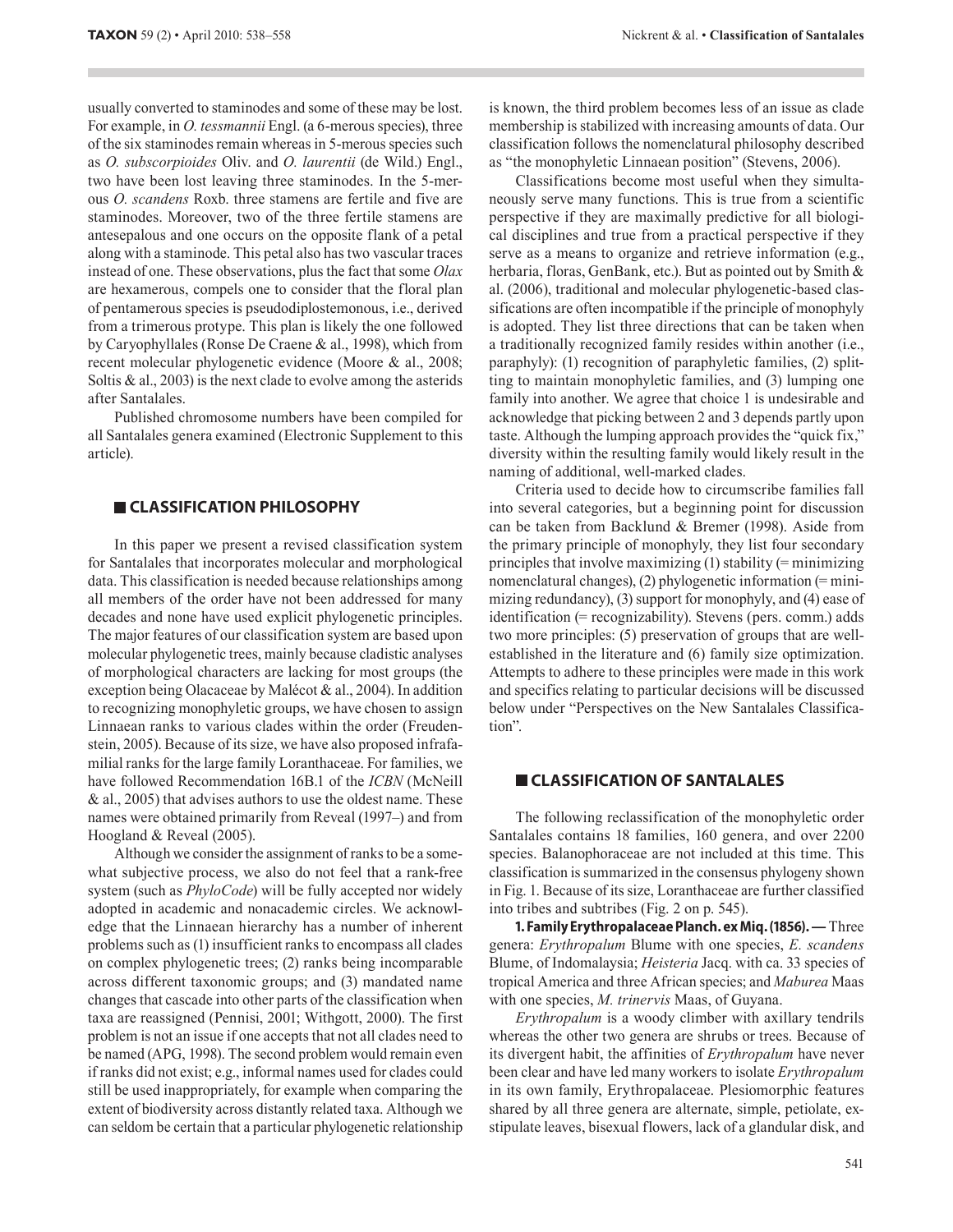usually converted to staminodes and some of these may be lost. For example, in *O. tessmannii* Engl. (a 6-merous species), three of the six staminodes remain whereas in 5-merous species such as *O. subscorpioides* Oliv. and *O. laurentii* (de Wild.) Engl., two have been lost leaving three staminodes. In the 5-merous *O. scandens* Roxb. three stamens are fertile and five are staminodes. Moreover, two of the three fertile stamens are antesepalous and one occurs on the opposite flank of a petal along with a staminode. This petal also has two vascular traces instead of one. These observations, plus the fact that some *Olax* are hexamerous, compels one to consider that the floral plan of pentamerous species is pseudodiplostemonous, i.e., derived from a trimerous protype. This plan is likely the one followed by Caryophyllales (Ronse De Craene & al., 1998), which from recent molecular phylogenetic evidence (Moore & al., 2008; Soltis & al., 2003) is the next clade to evolve among the asterids after Santalales.

Published chromosome numbers have been compiled for all Santalales genera examined (Electronic Supplement to this article).

#### **CLASSIFICATION PHILOSOPHY**

In this paper we present a revised classification system for Santalales that incorporates molecular and morphological data. This classification is needed because relationships among all members of the order have not been addressed for many decades and none have used explicit phylogenetic principles. The major features of our classification system are based upon molecular phylogenetic trees, mainly because cladistic analyses of morphological characters are lacking for most groups (the exception being Olacaceae by Malécot & al., 2004). In addition to recognizing monophyletic groups, we have chosen to assign Linnaean ranks to various clades within the order (Freudenstein, 2005). Because of its size, we have also proposed infrafamilial ranks for the large family Loranthaceae. For families, we have followed Recommendation 16B.1 of the *ICBN* (McNeill & al., 2005) that advises authors to use the oldest name. These names were obtained primarily from Reveal (1997–) and from Hoogland & Reveal (2005).

Although we consider the assignment of ranks to be a somewhat subjective process, we also do not feel that a rank-free system (such as *PhyloCode*) will be fully accepted nor widely adopted in academic and nonacademic circles. We acknowledge that the Linnaean hierarchy has a number of inherent problems such as (1) insufficient ranks to encompass all clades on complex phylogenetic trees; (2) ranks being incomparable across different taxonomic groups; and (3) mandated name changes that cascade into other parts of the classification when taxa are reassigned (Pennisi, 2001; Withgott, 2000). The first problem is not an issue if one accepts that not all clades need to be named (APG, 1998). The second problem would remain even if ranks did not exist; e.g., informal names used for clades could still be used inappropriately, for example when comparing the extent of biodiversity across distantly related taxa. Although we can seldom be certain that a particular phylogenetic relationship

is known, the third problem becomes less of an issue as clade membership is stabilized with increasing amounts of data. Our classification follows the nomenclatural philosophy described as "the monophyletic Linnaean position" (Stevens, 2006).

Classifications become most useful when they simultaneously serve many functions. This is true from a scientific perspective if they are maximally predictive for all biological disciplines and true from a practical perspective if they serve as a means to organize and retrieve information (e.g., herbaria, floras, GenBank, etc.). But as pointed out by Smith & al. (2006), traditional and molecular phylogenetic-based classifications are often incompatible if the principle of monophyly is adopted. They list three directions that can be taken when a traditionally recognized family resides within another (i.e., paraphyly): (1) recognition of paraphyletic families, (2) splitting to maintain monophyletic families, and (3) lumping one family into another. We agree that choice 1 is undesirable and acknowledge that picking between 2 and 3 depends partly upon taste. Although the lumping approach provides the "quick fix," diversity within the resulting family would likely result in the naming of additional, well-marked clades.

Criteria used to decide how to circumscribe families fall into several categories, but a beginning point for discussion can be taken from Backlund & Bremer (1998). Aside from the primary principle of monophyly, they list four secondary principles that involve maximizing (1) stability (= minimizing nomenclatural changes), (2) phylogenetic information (= minimizing redundancy), (3) support for monophyly, and (4) ease of identification (= recognizability). Stevens (pers. comm.) adds two more principles: (5) preservation of groups that are wellestablished in the literature and (6) family size optimization. Attempts to adhere to these principles were made in this work and specifics relating to particular decisions will be discussed below under "Perspectives on the New Santalales Classification".

#### **CLASSIFICATION OF SANTALALES**

The following reclassification of the monophyletic order Santalales contains 18 families, 160 genera, and over 2200 species. Balanophoraceae are not included at this time. This classification is summarized in the consensus phylogeny shown in Fig. 1. Because of its size, Loranthaceae are further classified into tribes and subtribes (Fig. 2 on p. 545).

**1. Family Erythropalaceae Planch. ex Miq. (1856).** — Three genera: *Erythropalum* Blume with one species, *E. scandens*  Blume, of Indomalaysia; *Heisteria* Jacq. with ca. 33 species of tropical America and three African species; and *Maburea* Maas with one species, *M. trinervis* Maas, of Guyana.

*Erythropalum* is a woody climber with axillary tendrils whereas the other two genera are shrubs or trees. Because of its divergent habit, the affinities of *Erythropalum* have never been clear and have led many workers to isolate *Erythropalum* in its own family, Erythropalaceae. Plesiomorphic features shared by all three genera are alternate, simple, petiolate, exstipulate leaves, bisexual flowers, lack of a glandular disk, and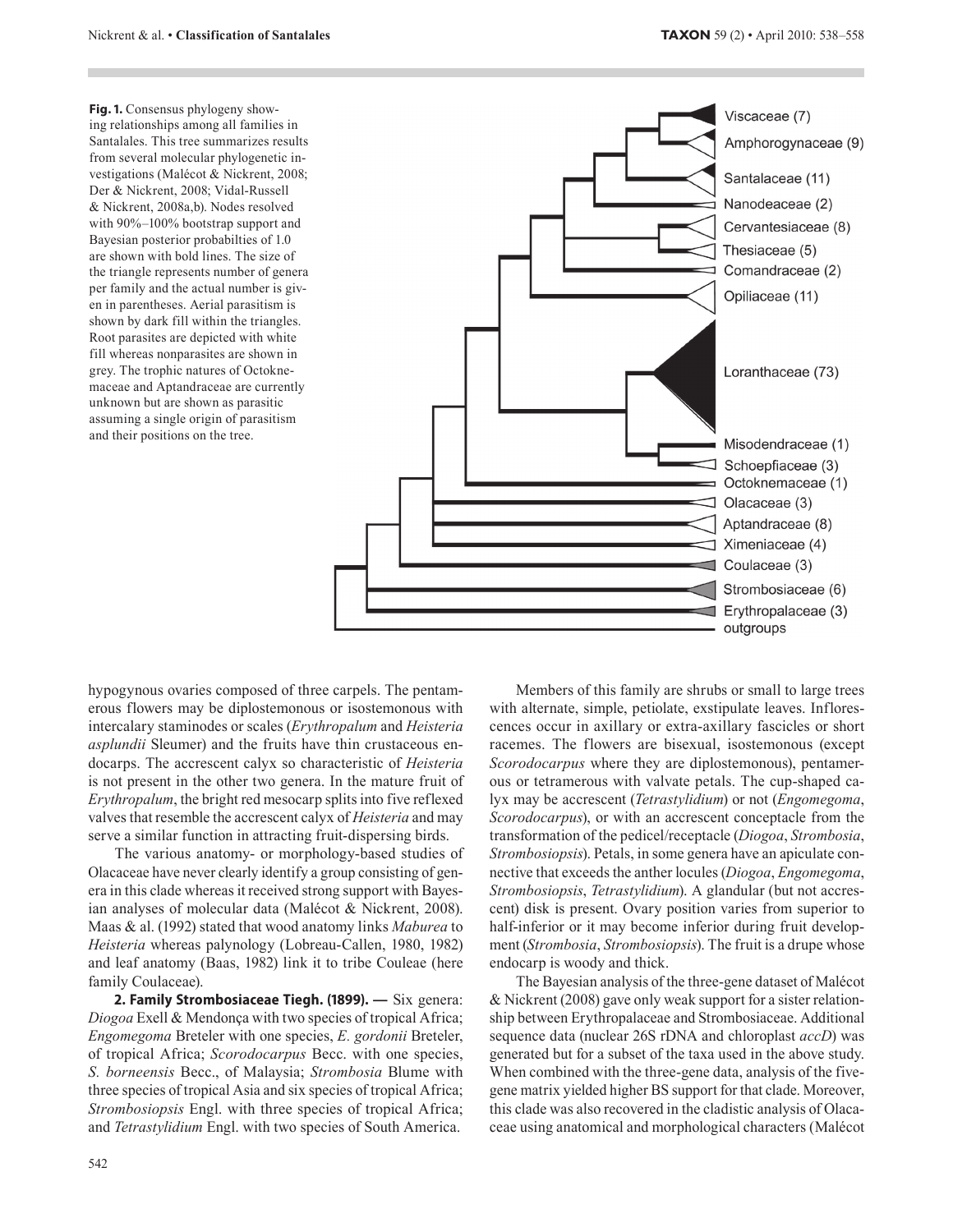Fig. 1. Consensus phylogeny showing relationships among all families in Santalales. This tree summarizes results from several molecular phylogenetic investigations (Malécot & Nickrent, 2008; Der & Nickrent, 2008; Vidal-Russell & Nickrent, 2008a,b). Nodes resolved with 90%-100% bootstrap support and Bayesian posterior probabilties of 1.0 are shown with bold lines. The size of the triangle represents number of genera per family and the actual number is given in parentheses. Aerial parasitism is shown by dark fill within the triangles. Root parasites are depicted with white fill whereas nonparasites are shown in grey. The trophic natures of Octoknemaceae and Aptandraceae are currently unknown but are shown as parasitic assuming a single origin of parasitism and their positions on the tree.



hypogynous ovaries composed of three carpels. The pentamerous flowers may be diplostemonous or isostemonous with intercalary staminodes or scales (*Erythropalum* and *Heisteria asplundii* Sleumer) and the fruits have thin crustaceous endocarps. The accrescent calyx so characteristic of *Heisteria* is not present in the other two genera. In the mature fruit of *Erythropalum*, the bright red mesocarp splits into five reflexed valves that resemble the accrescent calyx of *Heisteria* and may serve a similar function in attracting fruit-dispersing birds.

The various anatomy- or morphology-based studies of Olacaceae have never clearly identify a group consisting of genera in this clade whereas it received strong support with Bayesian analyses of molecular data (Malécot & Nickrent, 2008). Maas & al. (1992) stated that wood anatomy links *Maburea* to *Heisteria* whereas palynology (Lobreau-Callen, 1980, 1982) and leaf anatomy (Baas, 1982) link it to tribe Couleae (here family Coulaceae).

**2. Family Strombosiaceae Tiegh. (1899).** — Six genera: *Diogoa* Exell & Mendonça with two species of tropical Africa; *Engomegoma* Breteler with one species, *E. gordonii* Breteler, of tropical Africa; *Scorodocarpus* Becc. with one species, *S. borneensis* Becc., of Malaysia; *Strombosia* Blume with three species of tropical Asia and six species of tropical Africa; *Strombosiopsis* Engl. with three species of tropical Africa; and *Tetrastylidium* Engl. with two species of South America.

Members of this family are shrubs or small to large trees with alternate, simple, petiolate, exstipulate leaves. Inflorescences occur in axillary or extra-axillary fascicles or short racemes. The flowers are bisexual, isostemonous (except *Scorodocarpus* where they are diplostemonous), pentamerous or tetramerous with valvate petals. The cup-shaped calyx may be accrescent (*Tetrastylidium*) or not (*Engomegoma*, *Scorodocarpus*), or with an accrescent conceptacle from the transformation of the pedicel/receptacle (*Diogoa*, *Strombosia*, *Strombosiopsis*). Petals, in some genera have an apiculate connective that exceeds the anther locules (*Diogoa*, *Engomegoma*, *Strombosiopsis*, *Tetrastylidium*). A glandular (but not accrescent) disk is present. Ovary position varies from superior to half-inferior or it may become inferior during fruit development (*Strombosia*, *Strombosiopsis*). The fruit is a drupe whose endocarp is woody and thick.

The Bayesian analysis of the three-gene dataset of Malécot & Nickrent (2008) gave only weak support for a sister relationship between Erythropalaceae and Strombosiaceae. Additional sequence data (nuclear 26S rDNA and chloroplast *accD*) was generated but for a subset of the taxa used in the above study. When combined with the three-gene data, analysis of the fivegene matrix yielded higher BS support for that clade. Moreover, this clade was also recovered in the cladistic analysis of Olacaceae using anatomical and morphological characters (Malécot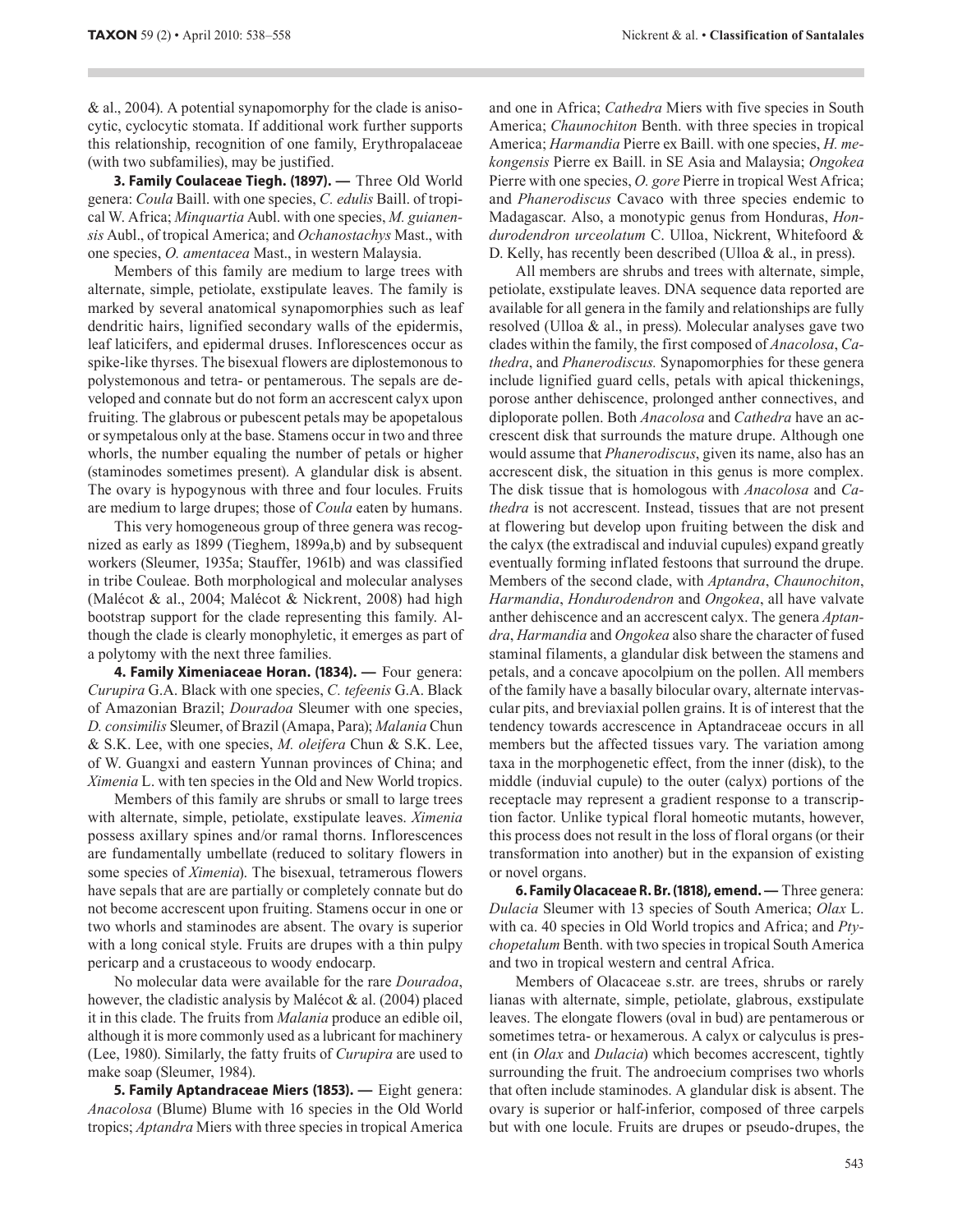& al., 2004). A potential synapomorphy for the clade is anisocytic, cyclocytic stomata. If additional work further supports this relationship, recognition of one family, Erythropalaceae (with two subfamilies), may be justified.

3. Family Coulaceae Tiegh. (1897). - Three Old World genera: *Coula* Baill. with one species, *C. edulis* Baill. of tropical W. Africa; *Minquartia* Aubl. with one species, *M. guianensis* Aubl., of tropical America; and *Ochanostachys* Mast., with one species, *O. amentacea* Mast., in western Malaysia.

Members of this family are medium to large trees with alternate, simple, petiolate, exstipulate leaves. The family is marked by several anatomical synapomorphies such as leaf dendritic hairs, lignified secondary walls of the epidermis, leaf laticifers, and epidermal druses. Inflorescences occur as spike-like thyrses. The bisexual flowers are diplostemonous to polystemonous and tetra- or pentamerous. The sepals are developed and connate but do not form an accrescent calyx upon fruiting. The glabrous or pubescent petals may be apopetalous or sympetalous only at the base. Stamens occur in two and three whorls, the number equaling the number of petals or higher (staminodes sometimes present). A glandular disk is absent. The ovary is hypogynous with three and four locules. Fruits are medium to large drupes; those of *Coula* eaten by humans.

This very homogeneous group of three genera was recognized as early as 1899 (Tieghem, 1899a,b) and by subsequent workers (Sleumer, 1935a; Stauffer, 1961b) and was classified in tribe Couleae. Both morphological and molecular analyses (Malécot & al., 2004; Malécot & Nickrent, 2008) had high bootstrap support for the clade representing this family. Although the clade is clearly monophyletic, it emerges as part of a polytomy with the next three families.

**4. Family Ximeniaceae Horan. (1834).** - Four genera: *Curupira* G.A. Black with one species, *C. tefeenis* G.A. Black of Amazonian Brazil; *Douradoa* Sleumer with one species, *D. consimilis* Sleumer, of Brazil (Amapa, Para); *Malania* Chun & S.K. Lee, with one species, *M. oleifera* Chun & S.K. Lee, of W. Guangxi and eastern Yunnan provinces of China; and *Ximenia* L. with ten species in the Old and New World tropics.

Members of this family are shrubs or small to large trees with alternate, simple, petiolate, exstipulate leaves. *Ximenia* possess axillary spines and/or ramal thorns. Inflorescences are fundamentally umbellate (reduced to solitary flowers in some species of *Ximenia*). The bisexual, tetramerous flowers have sepals that are are partially or completely connate but do not become accrescent upon fruiting. Stamens occur in one or two whorls and staminodes are absent. The ovary is superior with a long conical style. Fruits are drupes with a thin pulpy pericarp and a crustaceous to woody endocarp.

No molecular data were available for the rare *Douradoa*, however, the cladistic analysis by Malécot & al. (2004) placed it in this clade. The fruits from *Malania* produce an edible oil, although it is more commonly used as a lubricant for machinery (Lee, 1980). Similarly, the fatty fruits of *Curupira* are used to make soap (Sleumer, 1984).

**5. Family Aptandraceae Miers (1853).** — Eight genera: *Anacolosa* (Blume) Blume with 16 species in the Old World tropics; *Aptandra* Miers with three species in tropical America and one in Africa; *Cathedra* Miers with five species in South America; *Chaunochiton* Benth. with three species in tropical America; *Harmandia* Pierre ex Baill. with one species, *H. mekongensis* Pierre ex Baill. in SE Asia and Malaysia; *Ongokea*  Pierre with one species, *O. gore* Pierre in tropical West Africa; and *Phanerodiscus* Cavaco with three species endemic to Madagascar. Also, a monotypic genus from Honduras, *Hondurodendron urceolatum* C. Ulloa, Nickrent, Whitefoord & D. Kelly, has recently been described (Ulloa & al., in press).

All members are shrubs and trees with alternate, simple, petiolate, exstipulate leaves. DNA sequence data reported are available for all genera in the family and relationships are fully resolved (Ulloa & al., in press). Molecular analyses gave two clades within the family, the first composed of *Anacolosa*, *Cathedra*, and *Phanerodiscus.* Synapomorphies for these genera include lignified guard cells, petals with apical thickenings, porose anther dehiscence, prolonged anther connectives, and diploporate pollen. Both *Anacolosa* and *Cathedra* have an accrescent disk that surrounds the mature drupe. Although one would assume that *Phanerodiscus*, given its name, also has an accrescent disk, the situation in this genus is more complex. The disk tissue that is homologous with *Anacolosa* and *Cathedra* is not accrescent. Instead, tissues that are not present at flowering but develop upon fruiting between the disk and the calyx (the extradiscal and induvial cupules) expand greatly eventually forming inflated festoons that surround the drupe. Members of the second clade, with *Aptandra*, *Chaunochiton*, *Harmandia*, *Hondurodendron* and *Ongokea*, all have valvate anther dehiscence and an accrescent calyx. The genera *Aptandra*, *Harmandia* and *Ongokea* also share the character of fused staminal filaments, a glandular disk between the stamens and petals, and a concave apocolpium on the pollen. All members of the family have a basally bilocular ovary, alternate intervascular pits, and breviaxial pollen grains. It is of interest that the tendency towards accrescence in Aptandraceae occurs in all members but the affected tissues vary. The variation among taxa in the morphogenetic effect, from the inner (disk), to the middle (induvial cupule) to the outer (calyx) portions of the receptacle may represent a gradient response to a transcription factor. Unlike typical floral homeotic mutants, however, this process does not result in the loss of floral organs (or their transformation into another) but in the expansion of existing or novel organs.

6. Family Olacaceae R. Br. (1818), emend. — Three genera: *Dulacia* Sleumer with 13 species of South America; *Olax* L. with ca. 40 species in Old World tropics and Africa; and *Ptychopetalum* Benth. with two species in tropical South America and two in tropical western and central Africa.

Members of Olacaceae s.str. are trees, shrubs or rarely lianas with alternate, simple, petiolate, glabrous, exstipulate leaves. The elongate flowers (oval in bud) are pentamerous or sometimes tetra- or hexamerous. A calyx or calyculus is present (in *Olax* and *Dulacia*) which becomes accrescent, tightly surrounding the fruit. The androecium comprises two whorls that often include staminodes. A glandular disk is absent. The ovary is superior or half-inferior, composed of three carpels but with one locule. Fruits are drupes or pseudo-drupes, the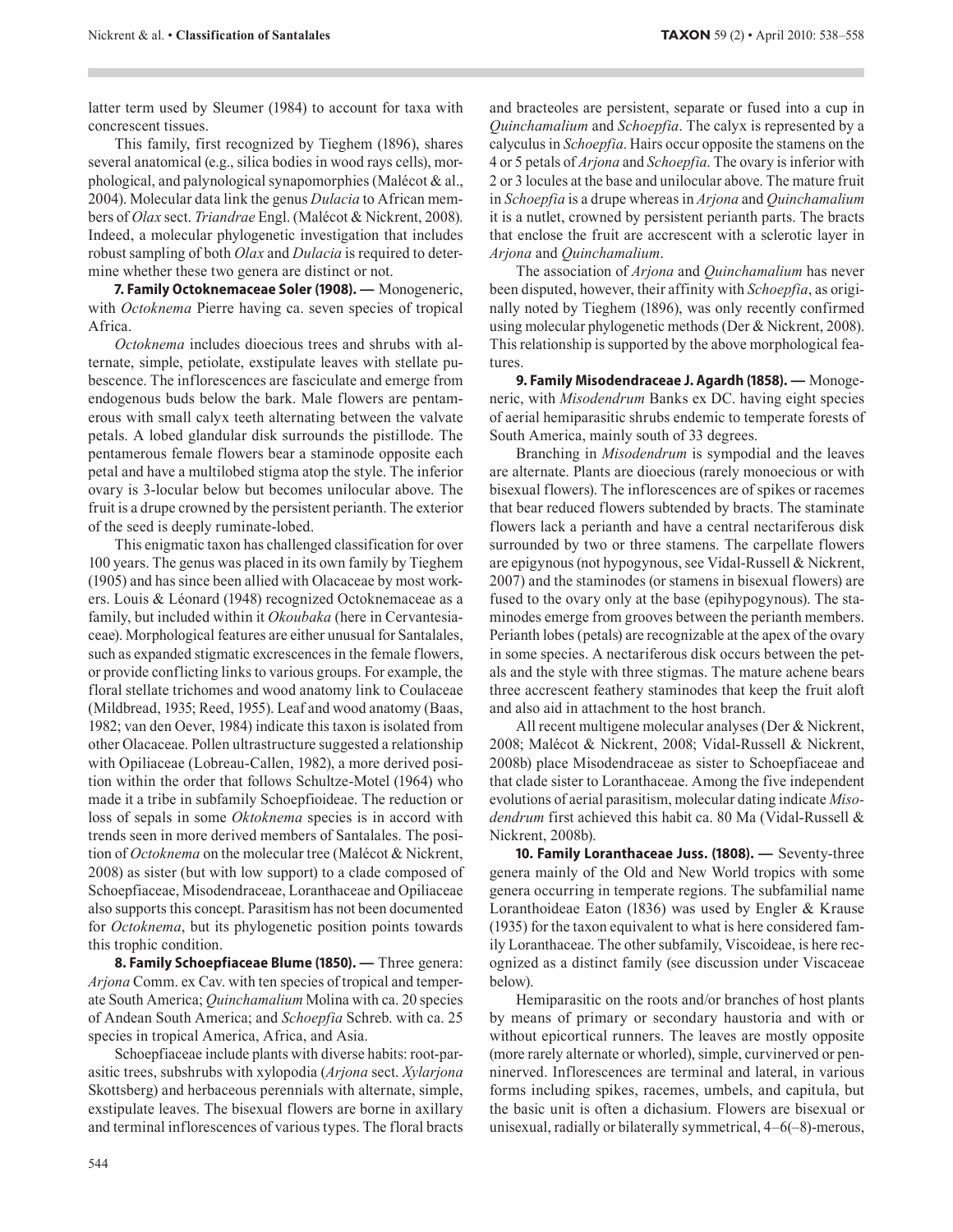latter term used by Sleumer (1984) to account for taxa with concrescent tissues.

This family, first recognized by Tieghem (1896), shares several anatomical (e.g., silica bodies in wood rays cells), morphological, and palynological synapomorphies (Malécot & al., 2004). Molecular data link the genus *Dulacia* to African members of *Olax* sect. *Triandrae* Engl. (Malécot & Nickrent, 2008). Indeed, a molecular phylogenetic investigation that includes robust sampling of both *Olax* and *Dulacia* is required to determine whether these two genera are distinct or not.

7. Family Octoknemaceae Soler (1908). - Monogeneric, with *Octoknema* Pierre having ca. seven species of tropical Africa.

*Octoknema* includes dioecious trees and shrubs with alternate, simple, petiolate, exstipulate leaves with stellate pubescence. The inflorescences are fasciculate and emerge from endogenous buds below the bark. Male flowers are pentamerous with small calyx teeth alternating between the valvate petals. A lobed glandular disk surrounds the pistillode. The pentamerous female flowers bear a staminode opposite each petal and have a multilobed stigma atop the style. The inferior ovary is 3-locular below but becomes unilocular above. The fruit is a drupe crowned by the persistent perianth. The exterior of the seed is deeply ruminate-lobed.

This enigmatic taxon has challenged classification for over 100 years. The genus was placed in its own family by Tieghem (1905) and has since been allied with Olacaceae by most workers. Louis & Léonard (1948) recognized Octoknemaceae as a family, but included within it *Okoubaka* (here in Cervantesiaceae). Morphological features are either unusual for Santalales, such as expanded stigmatic excrescences in the female flowers, or provide conflicting links to various groups. For example, the floral stellate trichomes and wood anatomy link to Coulaceae (Mildbread, 1935; Reed, 1955). Leaf and wood anatomy (Baas, 1982; van den Oever, 1984) indicate this taxon is isolated from other Olacaceae. Pollen ultrastructure suggested a relationship with Opiliaceae (Lobreau-Callen, 1982), a more derived position within the order that follows Schultze-Motel (1964) who made it a tribe in subfamily Schoepfioideae. The reduction or loss of sepals in some *Oktoknema* species is in accord with trends seen in more derived members of Santalales. The position of *Octoknema* on the molecular tree (Malécot & Nickrent, 2008) as sister (but with low support) to a clade composed of Schoepfiaceae, Misodendraceae, Loranthaceae and Opiliaceae also supports this concept. Parasitism has not been documented for *Octoknema*, but its phylogenetic position points towards this trophic condition.

**8. Family Schoepfiaceae Blume (1850).** — Three genera: *Arjona* Comm. ex Cav. with ten species of tropical and temperate South America; *Quinchamalium* Molina with ca. 20 species of Andean South America; and *Schoepfia* Schreb. with ca. 25 species in tropical America, Africa, and Asia.

Schoepfiaceae include plants with diverse habits: root-parasitic trees, subshrubs with xylopodia (*Arjona* sect. *Xylarjona*  Skottsberg) and herbaceous perennials with alternate, simple, exstipulate leaves. The bisexual flowers are borne in axillary and terminal inflorescences of various types. The floral bracts and bracteoles are persistent, separate or fused into a cup in *Quinchamalium* and *Schoepfia*. The calyx is represented by a calyculus in *Schoepfia*. Hairs occur opposite the stamens on the 4 or 5 petals of *Arjona* and *Schoepfia*. The ovary is inferior with 2 or 3 locules at the base and unilocular above. The mature fruit in *Schoepfia* is a drupe whereas in *Arjona* and *Quinchamalium* it is a nutlet, crowned by persistent perianth parts. The bracts that enclose the fruit are accrescent with a sclerotic layer in *Arjona* and *Quinchamalium*.

The association of *Arjona* and *Quinchamalium* has never been disputed, however, their affinity with *Schoepfia*, as originally noted by Tieghem (1896), was only recently confirmed using molecular phylogenetic methods (Der & Nickrent, 2008). This relationship is supported by the above morphological features.

**9. Family Misodendraceae J. Agardh (1858). — Monoge**neric, with *Misodendrum* Banks ex DC. having eight species of aerial hemiparasitic shrubs endemic to temperate forests of South America, mainly south of 33 degrees.

Branching in *Misodendrum* is sympodial and the leaves are alternate. Plants are dioecious (rarely monoecious or with bisexual flowers). The inflorescences are of spikes or racemes that bear reduced flowers subtended by bracts. The staminate flowers lack a perianth and have a central nectariferous disk surrounded by two or three stamens. The carpellate flowers are epigynous (not hypogynous, see Vidal-Russell & Nickrent, 2007) and the staminodes (or stamens in bisexual flowers) are fused to the ovary only at the base (epihypogynous). The staminodes emerge from grooves between the perianth members. Perianth lobes (petals) are recognizable at the apex of the ovary in some species. A nectariferous disk occurs between the petals and the style with three stigmas. The mature achene bears three accrescent feathery staminodes that keep the fruit aloft and also aid in attachment to the host branch.

All recent multigene molecular analyses (Der & Nickrent, 2008; Malécot & Nickrent, 2008; Vidal-Russell & Nickrent, 2008b) place Misodendraceae as sister to Schoepfiaceae and that clade sister to Loranthaceae. Among the five independent evolutions of aerial parasitism, molecular dating indicate *Misodendrum* first achieved this habit ca. 80 Ma (Vidal-Russell & Nickrent, 2008b).

10. Family Loranthaceae Juss. (1808). - Seventy-three genera mainly of the Old and New World tropics with some genera occurring in temperate regions. The subfamilial name Loranthoideae Eaton (1836) was used by Engler & Krause (1935) for the taxon equivalent to what is here considered family Loranthaceae. The other subfamily, Viscoideae, is here recognized as a distinct family (see discussion under Viscaceae below).

Hemiparasitic on the roots and/or branches of host plants by means of primary or secondary haustoria and with or without epicortical runners. The leaves are mostly opposite (more rarely alternate or whorled), simple, curvinerved or penninerved. Inflorescences are terminal and lateral, in various forms including spikes, racemes, umbels, and capitula, but the basic unit is often a dichasium. Flowers are bisexual or unisexual, radially or bilaterally symmetrical,  $4-6(-8)$ -merous,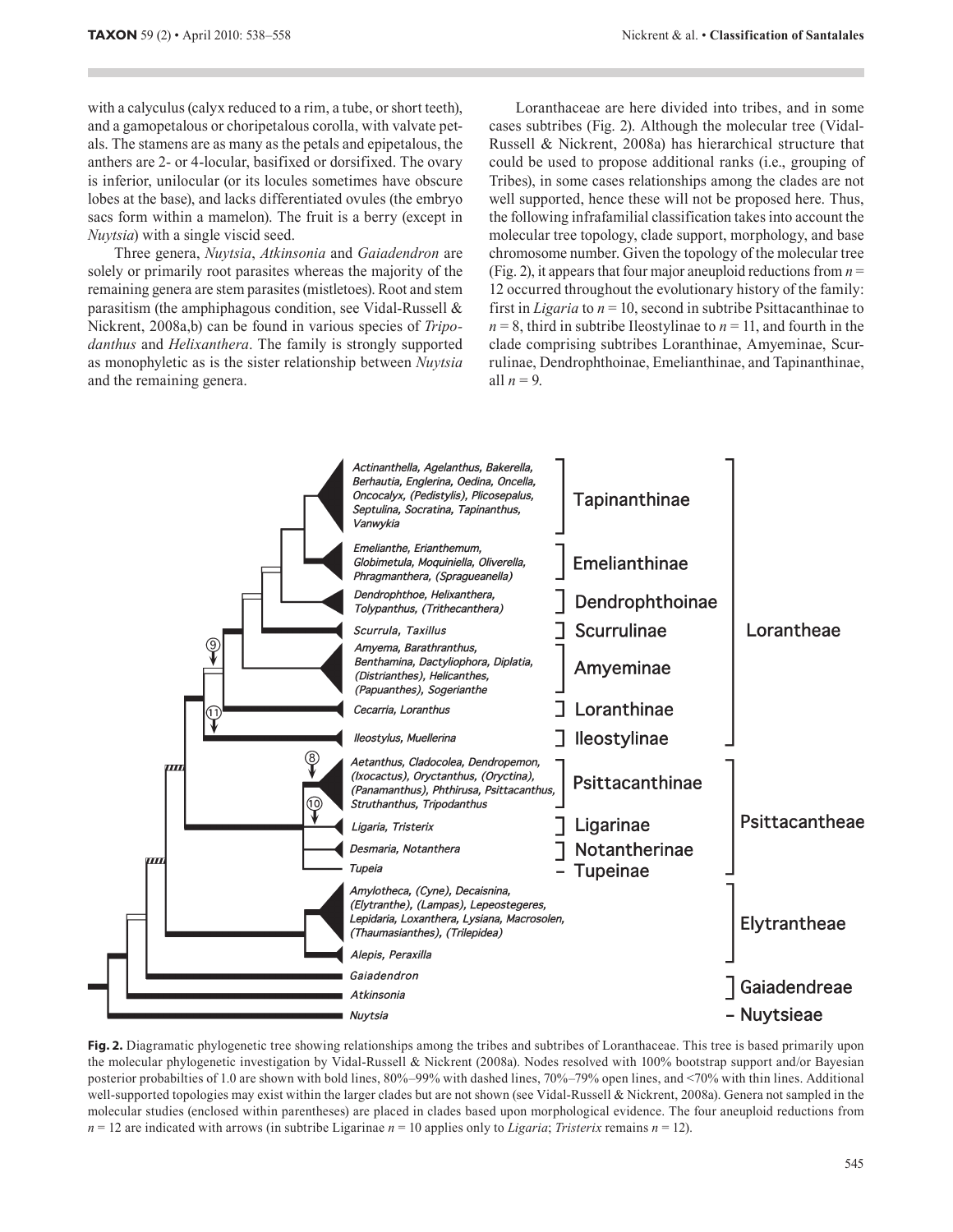with a calyculus (calyx reduced to a rim, a tube, or short teeth), and a gamopetalous or choripetalous corolla, with valvate petals. The stamens are as many as the petals and epipetalous, the anthers are 2- or 4-locular, basifixed or dorsifixed. The ovary is inferior, unilocular (or its locules sometimes have obscure lobes at the base), and lacks differentiated ovules (the embryo sacs form within a mamelon). The fruit is a berry (except in *Nuytsia*) with a single viscid seed.

Three genera, *Nuytsia*, *Atkinsonia* and *Gaiadendron* are solely or primarily root parasites whereas the majority of the remaining genera are stem parasites (mistletoes). Root and stem parasitism (the amphiphagous condition, see Vidal-Russell & Nickrent, 2008a,b) can be found in various species of *Tripodanthus* and *Helixanthera*. The family is strongly supported as monophyletic as is the sister relationship between *Nuytsia* and the remaining genera.

Loranthaceae are here divided into tribes, and in some cases subtribes (Fig. 2). Although the molecular tree (Vidal-Russell & Nickrent, 2008a) has hierarchical structure that could be used to propose additional ranks (i.e., grouping of Tribes), in some cases relationships among the clades are not well supported, hence these will not be proposed here. Thus, the following infrafamilial classification takes into account the molecular tree topology, clade support, morphology, and base chromosome number. Given the topology of the molecular tree (Fig. 2), it appears that four major aneuploid reductions from  $n =$ 12 occurred throughout the evolutionary history of the family: first in *Ligaria* to  $n = 10$ , second in subtribe Psittacanthinae to  $n = 8$ , third in subtribe Ileostylinae to  $n = 11$ , and fourth in the clade comprising subtribes Loranthinae, Amyeminae, Scurrulinae, Dendrophthoinae, Emelianthinae, and Tapinanthinae, all  $n = 9$ .



**Fig. 2.** Diagramatic phylogenetic tree showing relationships among the tribes and subtribes of Loranthaceae. This tree is based primarily upon the molecular phylogenetic investigation by Vidal-Russell & Nickrent (2008a). Nodes resolved with 100% bootstrap support and/or Bayesian posterior probabilties of 1.0 are shown with bold lines, 80%-99% with dashed lines, 70%-79% open lines, and <70% with thin lines. Additional well-supported topologies may exist within the larger clades but are not shown (see Vidal-Russell & Nickrent, 2008a). Genera not sampled in the molecular studies (enclosed within parentheses) are placed in clades based upon morphological evidence. The four aneuploid reductions from  $n = 12$  are indicated with arrows (in subtribe Ligarinae  $n = 10$  applies only to *Ligaria*; *Tristerix* remains  $n = 12$ ).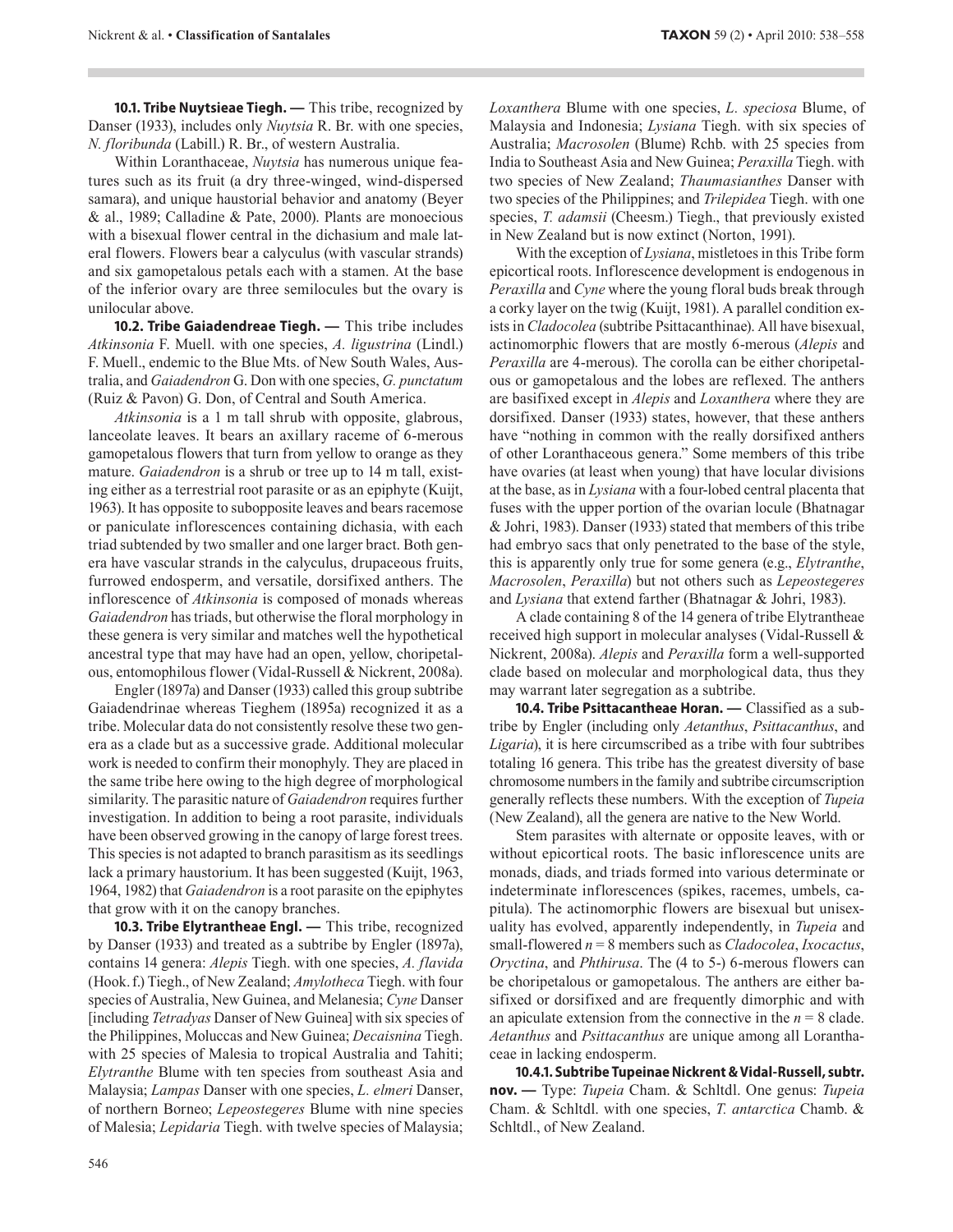**10.1. Tribe Nuytsieae Tiegh. —** This tribe, recognized by Danser (1933), includes only *Nuytsia* R. Br. with one species, *N. floribunda* (Labill.) R. Br., of western Australia.

Within Loranthaceae, *Nuytsia* has numerous unique features such as its fruit (a dry three-winged, wind-dispersed samara), and unique haustorial behavior and anatomy (Beyer & al., 1989; Calladine & Pate, 2000). Plants are monoecious with a bisexual flower central in the dichasium and male lateral flowers. Flowers bear a calyculus (with vascular strands) and six gamopetalous petals each with a stamen. At the base of the inferior ovary are three semilocules but the ovary is unilocular above.

**10.2. Tribe Gaiadendreae Tiegh. —** This tribe includes *Atkinsonia* F. Muell. with one species, *A. ligustrina* (Lindl.) F. Muell., endemic to the Blue Mts. of New South Wales, Australia, and *Gaiadendron* G. Don with one species, *G. punctatum* (Ruiz & Pavon) G. Don, of Central and South America.

*Atkinsonia* is a 1 m tall shrub with opposite, glabrous, lanceolate leaves. It bears an axillary raceme of 6-merous gamopetalous flowers that turn from yellow to orange as they mature. *Gaiadendron* is a shrub or tree up to 14 m tall, existing either as a terrestrial root parasite or as an epiphyte (Kuijt, 1963). It has opposite to subopposite leaves and bears racemose or paniculate inflorescences containing dichasia, with each triad subtended by two smaller and one larger bract. Both genera have vascular strands in the calyculus, drupaceous fruits, furrowed endosperm, and versatile, dorsifixed anthers. The inflorescence of *Atkinsonia* is composed of monads whereas *Gaiadendron* has triads, but otherwise the floral morphology in these genera is very similar and matches well the hypothetical ancestral type that may have had an open, yellow, choripetalous, entomophilous flower (Vidal-Russell & Nickrent, 2008a).

Engler (1897a) and Danser (1933) called this group subtribe Gaiadendrinae whereas Tieghem (1895a) recognized it as a tribe. Molecular data do not consistently resolve these two genera as a clade but as a successive grade. Additional molecular work is needed to confirm their monophyly. They are placed in the same tribe here owing to the high degree of morphological similarity. The parasitic nature of *Gaiadendron* requires further investigation. In addition to being a root parasite, individuals have been observed growing in the canopy of large forest trees. This species is not adapted to branch parasitism as its seedlings lack a primary haustorium. It has been suggested (Kuijt, 1963, 1964, 1982) that *Gaiadendron* is a root parasite on the epiphytes that grow with it on the canopy branches.

**10.3. Tribe Elytrantheae Engl.** — This tribe, recognized by Danser (1933) and treated as a subtribe by Engler (1897a), contains 14 genera: *Alepis* Tiegh. with one species, *A. flavida* (Hook. f.) Tiegh., of New Zealand; *Amylotheca* Tiegh. with four species of Australia, New Guinea, and Melanesia; *Cyne* Danser [including *Tetradyas* Danser of New Guinea] with six species of the Philippines, Moluccas and New Guinea; *Decaisnina* Tiegh. with 25 species of Malesia to tropical Australia and Tahiti; *Elytranthe* Blume with ten species from southeast Asia and Malaysia; *Lampas* Danser with one species, *L. elmeri* Danser, of northern Borneo; *Lepeostegeres* Blume with nine species of Malesia; *Lepidaria* Tiegh. with twelve species of Malaysia;

*Loxanthera* Blume with one species, *L. speciosa* Blume, of Malaysia and Indonesia; *Lysiana* Tiegh. with six species of Australia; *Macrosolen* (Blume) Rchb. with 25 species from India to Southeast Asia and New Guinea; *Peraxilla* Tiegh. with two species of New Zealand; *Thaumasianthes* Danser with two species of the Philippines; and *Trilepidea* Tiegh. with one species, *T. adamsii* (Cheesm.) Tiegh., that previously existed in New Zealand but is now extinct (Norton, 1991).

With the exception of *Lysiana*, mistletoes in this Tribe form epicortical roots. Inflorescence development is endogenous in *Peraxilla* and *Cyne* where the young floral buds break through a corky layer on the twig (Kuijt, 1981). A parallel condition exists in *Cladocolea* (subtribe Psittacanthinae). All have bisexual, actinomorphic flowers that are mostly 6-merous (*Alepis* and *Peraxilla* are 4-merous). The corolla can be either choripetalous or gamopetalous and the lobes are reflexed. The anthers are basifixed except in *Alepis* and *Loxanthera* where they are dorsifixed. Danser (1933) states, however, that these anthers have "nothing in common with the really dorsifixed anthers of other Loranthaceous genera." Some members of this tribe have ovaries (at least when young) that have locular divisions at the base, as in *Lysiana* with a four-lobed central placenta that fuses with the upper portion of the ovarian locule (Bhatnagar & Johri, 1983). Danser (1933) stated that members of this tribe had embryo sacs that only penetrated to the base of the style, this is apparently only true for some genera (e.g., *Elytranthe*, *Macrosolen*, *Peraxilla*) but not others such as *Lepeostegeres* and *Lysiana* that extend farther (Bhatnagar & Johri, 1983).

A clade containing 8 of the 14 genera of tribe Elytrantheae received high support in molecular analyses (Vidal-Russell & Nickrent, 2008a). *Alepis* and *Peraxilla* form a well-supported clade based on molecular and morphological data, thus they may warrant later segregation as a subtribe.

**10.4. Tribe Psittacantheae Horan.** — Classified as a subtribe by Engler (including only *Aetanthus*, *Psittacanthus*, and *Ligaria*), it is here circumscribed as a tribe with four subtribes totaling 16 genera. This tribe has the greatest diversity of base chromosome numbers in the family and subtribe circumscription generally reflects these numbers. With the exception of *Tupeia* (New Zealand), all the genera are native to the New World.

Stem parasites with alternate or opposite leaves, with or without epicortical roots. The basic inflorescence units are monads, diads, and triads formed into various determinate or indeterminate inflorescences (spikes, racemes, umbels, capitula). The actinomorphic flowers are bisexual but unisexuality has evolved, apparently independently, in *Tupeia* and small-flowered *n* = 8 members such as *Cladocolea*, *Ixocactus*, *Oryctina*, and *Phthirusa*. The (4 to 5-) 6-merous flowers can be choripetalous or gamopetalous. The anthers are either basifixed or dorsifixed and are frequently dimorphic and with an apiculate extension from the connective in the  $n = 8$  clade. *Aetanthus* and *Psittacanthus* are unique among all Loranthaceae in lacking endosperm.

**... Subtribe Tupeinae Nickrent & Vidal-Russell, subtr. nov. —** Type: *Tupeia* Cham. & Schltdl. One genus: *Tupeia* Cham. & Schltdl. with one species, *T. antarctica* Chamb. & Schltdl., of New Zealand.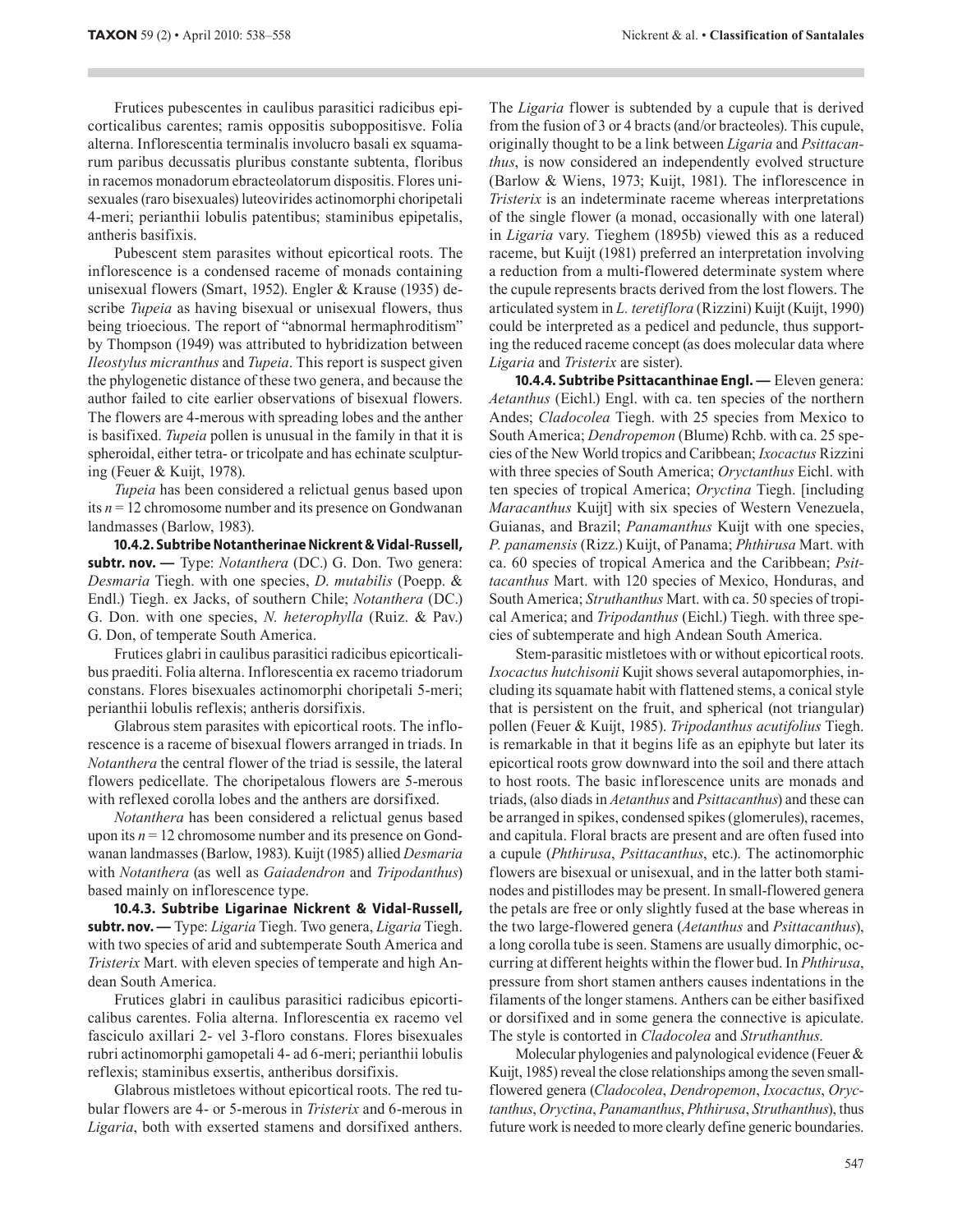Frutices pubescentes in caulibus parasitici radicibus epicorticalibus carentes; ramis oppositis suboppositisve. Folia alterna. Inflorescentia terminalis involucro basali ex squamarum paribus decussatis pluribus constante subtenta, floribus in racemos monadorum ebracteolatorum dispositis. Flores unisexuales (raro bisexuales) luteovirides actinomorphi choripetali 4-meri; perianthii lobulis patentibus; staminibus epipetalis, antheris basifixis.

Pubescent stem parasites without epicortical roots. The inflorescence is a condensed raceme of monads containing unisexual flowers (Smart, 1952). Engler & Krause (1935) describe *Tupeia* as having bisexual or unisexual flowers, thus being trioecious. The report of "abnormal hermaphroditism" by Thompson (1949) was attributed to hybridization between *Ileostylus micranthus* and *Tupeia*. This report is suspect given the phylogenetic distance of these two genera, and because the author failed to cite earlier observations of bisexual flowers. The flowers are 4-merous with spreading lobes and the anther is basifixed. *Tupeia* pollen is unusual in the family in that it is spheroidal, either tetra- or tricolpate and has echinate sculpturing (Feuer & Kuijt, 1978).

*Tupeia* has been considered a relictual genus based upon its *n* = 12 chromosome number and its presence on Gondwanan landmasses (Barlow, 1983).

**... Subtribe Notantherinae Nickrent & Vidal-Russell, subtr. nov. —** Type: *Notanthera* (DC.) G. Don. Two genera: *Desmaria* Tiegh. with one species, *D*. *mutabilis* (Poepp. & Endl.) Tiegh. ex Jacks, of southern Chile; *Notanthera* (DC.) G. Don. with one species, *N. heterophylla* (Ruiz. & Pav.) G. Don, of temperate South America.

Frutices glabri in caulibus parasitici radicibus epicorticalibus praediti. Folia alterna. Inflorescentia ex racemo triadorum constans. Flores bisexuales actinomorphi choripetali 5-meri; perianthii lobulis reflexis; antheris dorsifixis.

Glabrous stem parasites with epicortical roots. The inflorescence is a raceme of bisexual flowers arranged in triads. In *Notanthera* the central flower of the triad is sessile, the lateral flowers pedicellate. The choripetalous flowers are 5-merous with reflexed corolla lobes and the anthers are dorsifixed.

*Notanthera* has been considered a relictual genus based upon its  $n = 12$  chromosome number and its presence on Gondwanan landmasses (Barlow, 1983). Kuijt (1985) allied *Desmaria* with *Notanthera* (as well as *Gaiadendron* and *Tripodanthus*) based mainly on inflorescence type.

**... Subtribe Ligarinae Nickrent & Vidal-Russell, subtr. nov. —** Type: *Ligaria* Tiegh. Two genera, *Ligaria* Tiegh. with two species of arid and subtemperate South America and *Tristerix* Mart. with eleven species of temperate and high Andean South America.

Frutices glabri in caulibus parasitici radicibus epicorticalibus carentes. Folia alterna. Inflorescentia ex racemo vel fasciculo axillari 2- vel 3-floro constans. Flores bisexuales rubri actinomorphi gamopetali 4- ad 6-meri; perianthii lobulis reflexis; staminibus exsertis, antheribus dorsifixis.

Glabrous mistletoes without epicortical roots. The red tubular flowers are 4- or 5-merous in *Tristerix* and 6-merous in *Ligaria*, both with exserted stamens and dorsifixed anthers. The *Ligaria* flower is subtended by a cupule that is derived from the fusion of 3 or 4 bracts (and/or bracteoles). This cupule, originally thought to be a link between *Ligaria* and *Psittacanthus*, is now considered an independently evolved structure (Barlow & Wiens, 1973; Kuijt, 1981). The inflorescence in *Tristerix* is an indeterminate raceme whereas interpretations of the single flower (a monad, occasionally with one lateral) in *Ligaria* vary. Tieghem (1895b) viewed this as a reduced raceme, but Kuijt (1981) preferred an interpretation involving a reduction from a multi-flowered determinate system where the cupule represents bracts derived from the lost flowers. The articulated system in *L. teretiflora* (Rizzini) Kuijt (Kuijt, 1990) could be interpreted as a pedicel and peduncle, thus supporting the reduced raceme concept (as does molecular data where *Ligaria* and *Tristerix* are sister).

**10.4.4. Subtribe Psittacanthinae Engl. — Eleven genera:** *Aetanthus* (Eichl.) Engl. with ca. ten species of the northern Andes; *Cladocolea* Tiegh. with 25 species from Mexico to South America; *Dendropemon* (Blume) Rchb. with ca. 25 species of the New World tropics and Caribbean; *Ixocactus* Rizzini with three species of South America; *Oryctanthus* Eichl. with ten species of tropical America; *Oryctina* Tiegh. [including *Maracanthus* Kuijt] with six species of Western Venezuela, Guianas, and Brazil; *Panamanthus* Kuijt with one species, *P. panamensis* (Rizz.) Kuijt, of Panama; *Phthirusa* Mart. with ca. 60 species of tropical America and the Caribbean; *Psittacanthus* Mart. with 120 species of Mexico, Honduras, and South America; *Struthanthus* Mart. with ca. 50 species of tropical America; and *Tripodanthus* (Eichl.) Tiegh. with three species of subtemperate and high Andean South America.

Stem-parasitic mistletoes with or without epicortical roots. *Ixocactus hutchisonii* Kujit shows several autapomorphies, including its squamate habit with flattened stems, a conical style that is persistent on the fruit, and spherical (not triangular) pollen (Feuer & Kuijt, 1985). *Tripodanthus acutifolius* Tiegh. is remarkable in that it begins life as an epiphyte but later its epicortical roots grow downward into the soil and there attach to host roots. The basic inflorescence units are monads and triads, (also diads in *Aetanthus* and *Psittacanthus*) and these can be arranged in spikes, condensed spikes (glomerules), racemes, and capitula. Floral bracts are present and are often fused into a cupule (*Phthirusa*, *Psittacanthus*, etc.). The actinomorphic flowers are bisexual or unisexual, and in the latter both staminodes and pistillodes may be present. In small-flowered genera the petals are free or only slightly fused at the base whereas in the two large-flowered genera (*Aetanthus* and *Psittacanthus*), a long corolla tube is seen. Stamens are usually dimorphic, occurring at different heights within the flower bud. In *Phthirusa*, pressure from short stamen anthers causes indentations in the filaments of the longer stamens. Anthers can be either basifixed or dorsifixed and in some genera the connective is apiculate. The style is contorted in *Cladocolea* and *Struthanthus*.

Molecular phylogenies and palynological evidence (Feuer & Kuijt, 1985) reveal the close relationships among the seven smallflowered genera (*Cladocolea*, *Dendropemon*, *Ixocactus*, *Oryctanthus*, *Oryctina*, *Panamanthus*, *Phthirusa*, *Struthanthus*), thus future work is needed to more clearly define generic boundaries.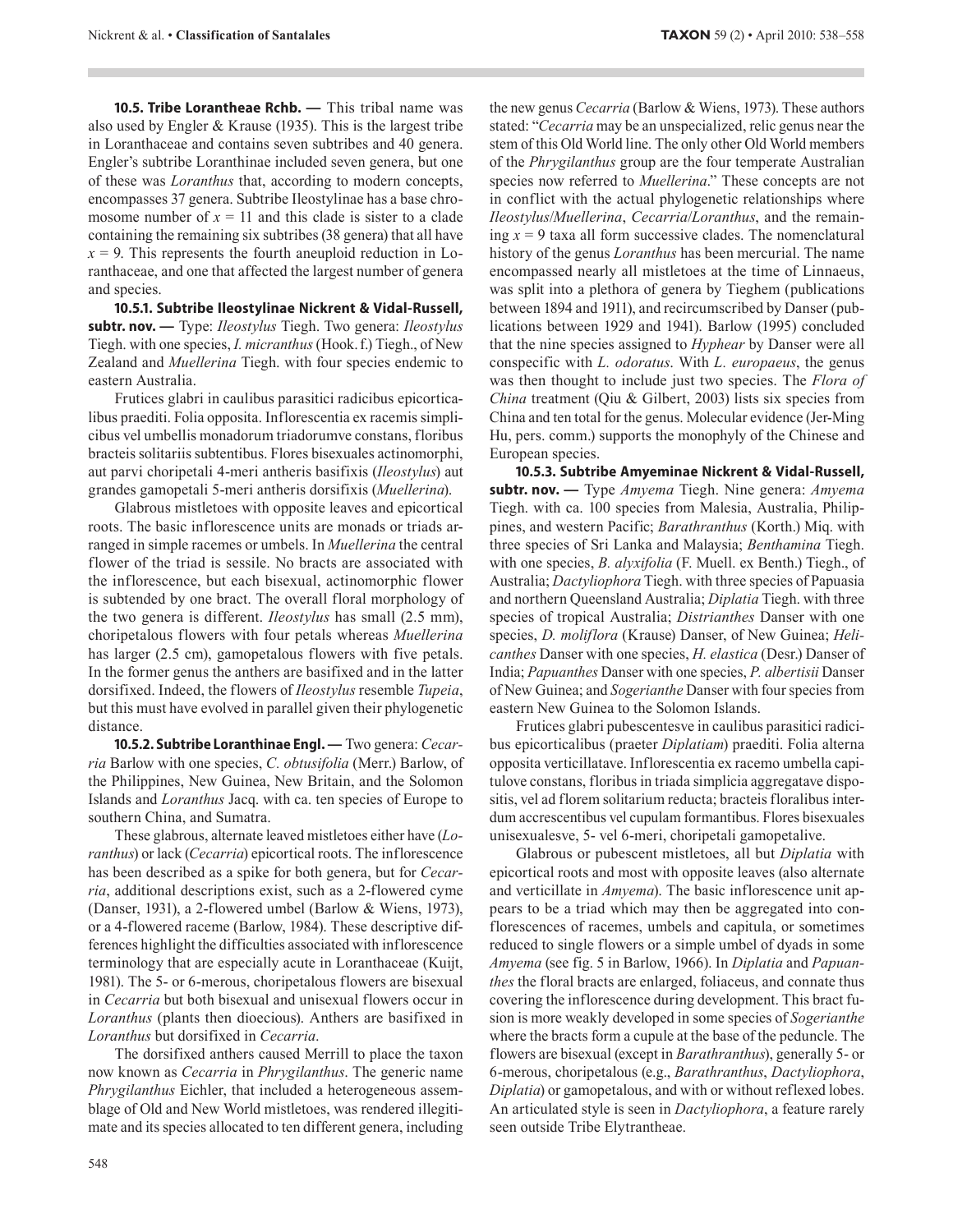**10.5. Tribe Lorantheae Rchb.** — This tribal name was also used by Engler & Krause (1935). This is the largest tribe in Loranthaceae and contains seven subtribes and 40 genera. Engler's subtribe Loranthinae included seven genera, but one of these was *Loranthus* that, according to modern concepts, encompasses 37 genera. Subtribe Ileostylinae has a base chromosome number of  $x = 11$  and this clade is sister to a clade containing the remaining six subtribes (38 genera) that all have  $x = 9$ . This represents the fourth aneuploid reduction in Loranthaceae, and one that affected the largest number of genera and species.

**... Subtribe Ileostylinae Nickrent & Vidal-Russell, subtr. nov. —** Type: *Ileostylus* Tiegh. Two genera: *Ileostylus* Tiegh. with one species, *I. micranthus* (Hook. f.) Tiegh., of New Zealand and *Muellerina* Tiegh. with four species endemic to eastern Australia.

Frutices glabri in caulibus parasitici radicibus epicorticalibus praediti. Folia opposita. Inflorescentia ex racemis simplicibus vel umbellis monadorum triadorumve constans, floribus bracteis solitariis subtentibus. Flores bisexuales actinomorphi, aut parvi choripetali 4-meri antheris basifixis (*Ileostylus*) aut grandes gamopetali 5-meri antheris dorsifixis (*Muellerina*).

Glabrous mistletoes with opposite leaves and epicortical roots. The basic inflorescence units are monads or triads arranged in simple racemes or umbels. In *Muellerina* the central flower of the triad is sessile. No bracts are associated with the inflorescence, but each bisexual, actinomorphic flower is subtended by one bract. The overall floral morphology of the two genera is different. *Ileostylus* has small (2.5 mm), choripetalous flowers with four petals whereas *Muellerina* has larger (2.5 cm), gamopetalous flowers with five petals. In the former genus the anthers are basifixed and in the latter dorsifixed. Indeed, the flowers of *Ileostylus* resemble *Tupeia*, but this must have evolved in parallel given their phylogenetic distance.

**... Subtribe Loranthinae Engl. —** Two genera: *Cecarria* Barlow with one species, *C. obtusifolia* (Merr.) Barlow, of the Philippines, New Guinea, New Britain, and the Solomon Islands and *Loranthus* Jacq. with ca. ten species of Europe to southern China, and Sumatra.

These glabrous, alternate leaved mistletoes either have (*Loranthus*) or lack (*Cecarria*) epicortical roots. The inflorescence has been described as a spike for both genera, but for *Cecarria*, additional descriptions exist, such as a 2-flowered cyme (Danser, 1931), a 2-flowered umbel (Barlow & Wiens, 1973), or a 4-flowered raceme (Barlow, 1984). These descriptive differences highlight the difficulties associated with inflorescence terminology that are especially acute in Loranthaceae (Kuijt, 1981). The 5- or 6-merous, choripetalous flowers are bisexual in *Cecarria* but both bisexual and unisexual flowers occur in *Loranthus* (plants then dioecious). Anthers are basifixed in *Loranthus* but dorsifixed in *Cecarria*.

The dorsifixed anthers caused Merrill to place the taxon now known as *Cecarria* in *Phrygilanthus*. The generic name *Phrygilanthus* Eichler, that included a heterogeneous assemblage of Old and New World mistletoes, was rendered illegitimate and its species allocated to ten different genera, including the new genus *Cecarria* (Barlow & Wiens, 1973). These authors stated: "*Cecarria* may be an unspecialized, relic genus near the stem of this Old World line. The only other Old World members of the *Phrygilanthus* group are the four temperate Australian species now referred to *Muellerina*." These concepts are not in conflict with the actual phylogenetic relationships where *Ileostylus*/*Muellerina*, *Cecarria*/*Loranthus*, and the remaining  $x = 9$  taxa all form successive clades. The nomenclatural history of the genus *Loranthus* has been mercurial. The name encompassed nearly all mistletoes at the time of Linnaeus, was split into a plethora of genera by Tieghem (publications between 1894 and 1911), and recircumscribed by Danser (publications between 1929 and 1941). Barlow (1995) concluded that the nine species assigned to *Hyphear* by Danser were all conspecific with *L. odoratus*. With *L. europaeus*, the genus was then thought to include just two species. The *Flora of China* treatment (Qiu & Gilbert, 2003) lists six species from China and ten total for the genus. Molecular evidence (Jer-Ming Hu, pers. comm.) supports the monophyly of the Chinese and European species.

**... Subtribe Amyeminae Nickrent & Vidal-Russell, subtr. nov. —** Type *Amyema* Tiegh. Nine genera: *Amyema* Tiegh. with ca. 100 species from Malesia, Australia, Philippines, and western Pacific; *Barathranthus* (Korth.) Miq. with three species of Sri Lanka and Malaysia; *Benthamina* Tiegh. with one species, *B. alyxifolia* (F. Muell. ex Benth.) Tiegh., of Australia; *Dactyliophora* Tiegh. with three species of Papuasia and northern Queensland Australia; *Diplatia* Tiegh. with three species of tropical Australia; *Distrianthes* Danser with one species, *D. moliflora* (Krause) Danser, of New Guinea; *Helicanthes* Danser with one species, *H. elastica* (Desr.) Danser of India; *Papuanthes* Danser with one species, *P. albertisii* Danser of New Guinea; and *Sogerianthe* Danser with four species from eastern New Guinea to the Solomon Islands.

Frutices glabri pubescentesve in caulibus parasitici radicibus epicorticalibus (praeter *Diplatiam*) praediti. Folia alterna opposita verticillatave. Inflorescentia ex racemo umbella capitulove constans, floribus in triada simplicia aggregatave dispositis, vel ad florem solitarium reducta; bracteis floralibus interdum accrescentibus vel cupulam formantibus. Flores bisexuales unisexualesve, 5- vel 6-meri, choripetali gamopetalive.

Glabrous or pubescent mistletoes, all but *Diplatia* with epicortical roots and most with opposite leaves (also alternate and verticillate in *Amyema*). The basic inflorescence unit appears to be a triad which may then be aggregated into conflorescences of racemes, umbels and capitula, or sometimes reduced to single flowers or a simple umbel of dyads in some *Amyema* (see fig. 5 in Barlow, 1966). In *Diplatia* and *Papuanthes* the floral bracts are enlarged, foliaceus, and connate thus covering the inflorescence during development. This bract fusion is more weakly developed in some species of *Sogerianthe* where the bracts form a cupule at the base of the peduncle. The flowers are bisexual (except in *Barathranthus*), generally 5- or 6-merous, choripetalous (e.g., *Barathranthus*, *Dactyliophora*, *Diplatia*) or gamopetalous, and with or without reflexed lobes. An articulated style is seen in *Dactyliophora*, a feature rarely seen outside Tribe Elytrantheae.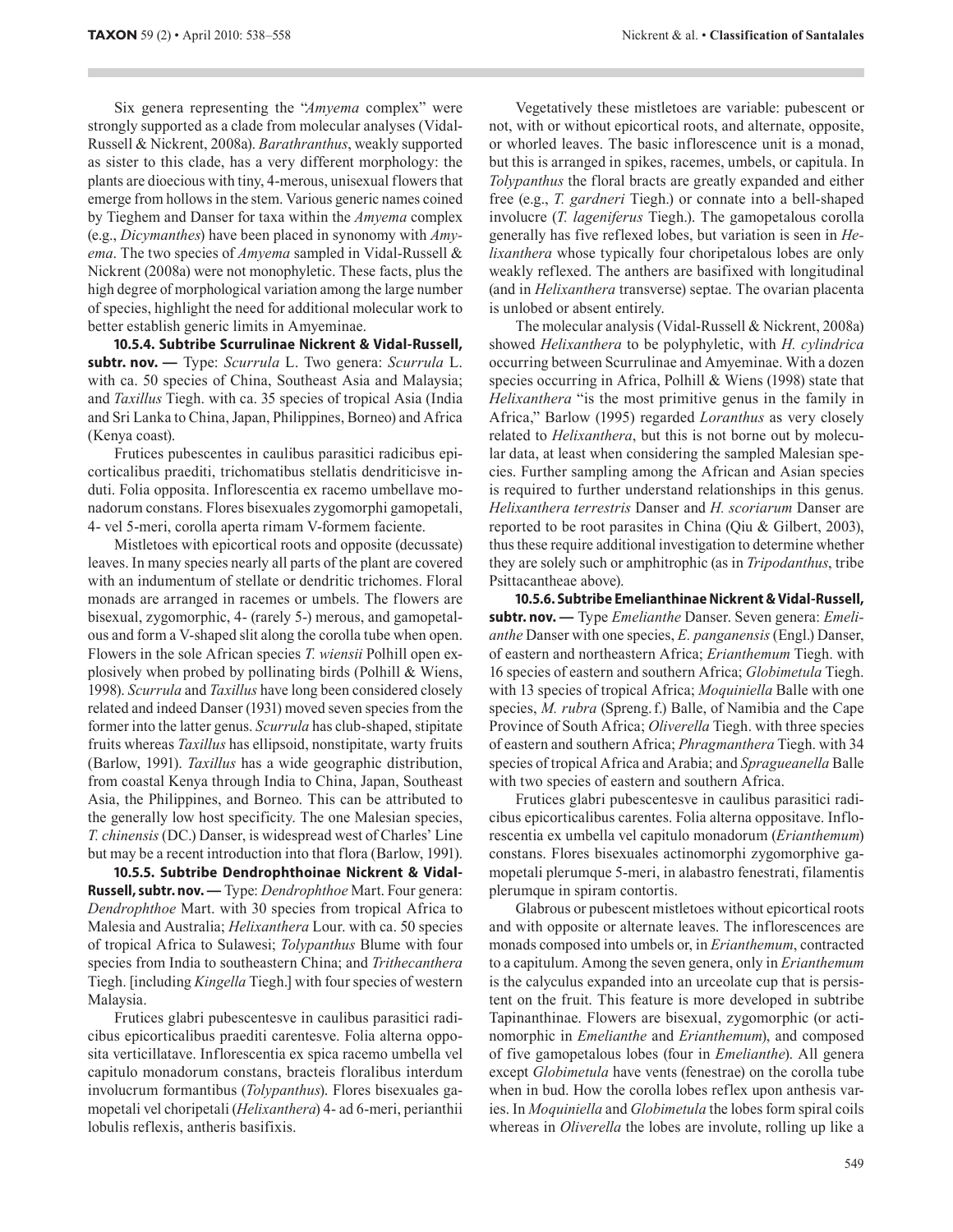Six genera representing the "Amyema complex" were strongly supported as a clade from molecular analyses (Vidal-Russell & Nickrent, 2008a). *Barathranthus*, weakly supported as sister to this clade, has a very different morphology: the plants are dioecious with tiny, 4-merous, unisexual flowers that emerge from hollows in the stem. Various generic names coined by Tieghem and Danser for taxa within the *Amyema* complex (e.g., *Dicymanthes*) have been placed in synonomy with *Amyema*. The two species of *Amyema* sampled in Vidal-Russell & Nickrent (2008a) were not monophyletic. These facts, plus the high degree of morphological variation among the large number of species, highlight the need for additional molecular work to better establish generic limits in Amyeminae.

**... Subtribe Scurrulinae Nickrent & Vidal-Russell, subtr. nov. —** Type: *Scurrula* L. Two genera: *Scurrula* L. with ca. 50 species of China, Southeast Asia and Malaysia; and *Taxillus* Tiegh. with ca. 35 species of tropical Asia (India and Sri Lanka to China, Japan, Philippines, Borneo) and Africa (Kenya coast).

Frutices pubescentes in caulibus parasitici radicibus epicorticalibus praediti, trichomatibus stellatis dendriticisve induti. Folia opposita. Inflorescentia ex racemo umbellave monadorum constans. Flores bisexuales zygomorphi gamopetali, 4- vel 5-meri, corolla aperta rimam V-formem faciente.

Mistletoes with epicortical roots and opposite (decussate) leaves. In many species nearly all parts of the plant are covered with an indumentum of stellate or dendritic trichomes. Floral monads are arranged in racemes or umbels. The flowers are bisexual, zygomorphic, 4- (rarely 5-) merous, and gamopetalous and form a V-shaped slit along the corolla tube when open. Flowers in the sole African species *T. wiensii* Polhill open explosively when probed by pollinating birds (Polhill & Wiens, 1998). *Scurrula* and *Taxillus* have long been considered closely related and indeed Danser (1931) moved seven species from the former into the latter genus. *Scurrula* has club-shaped, stipitate fruits whereas *Taxillus* has ellipsoid, nonstipitate, warty fruits (Barlow, 1991). *Taxillus* has a wide geographic distribution, from coastal Kenya through India to China, Japan, Southeast Asia, the Philippines, and Borneo. This can be attributed to the generally low host specificity. The one Malesian species, *T. chinensis* (DC.) Danser, is widespread west of Charles' Line but may be a recent introduction into that flora (Barlow, 1991).

10.5.5. Subtribe Dendrophthoinae Nickrent & Vidal-**Russell, subtr. nov. —** Type: *Dendrophthoe* Mart. Four genera: *Dendrophthoe* Mart. with 30 species from tropical Africa to Malesia and Australia; *Helixanthera* Lour. with ca. 50 species of tropical Africa to Sulawesi; *Tolypanthus* Blume with four species from India to southeastern China; and *Trithecanthera* Tiegh. [including *Kingella* Tiegh.] with four species of western Malaysia.

Frutices glabri pubescentesve in caulibus parasitici radicibus epicorticalibus praediti carentesve. Folia alterna opposita verticillatave. Inflorescentia ex spica racemo umbella vel capitulo monadorum constans, bracteis floralibus interdum involucrum formantibus (*Tolypanthus*). Flores bisexuales gamopetali vel choripetali (*Helixanthera*) 4- ad 6-meri, perianthii lobulis reflexis, antheris basifixis.

Vegetatively these mistletoes are variable: pubescent or not, with or without epicortical roots, and alternate, opposite, or whorled leaves. The basic inflorescence unit is a monad, but this is arranged in spikes, racemes, umbels, or capitula. In *Tolypanthus* the floral bracts are greatly expanded and either free (e.g., *T. gardneri* Tiegh.) or connate into a bell-shaped involucre (*T. lageniferus* Tiegh.). The gamopetalous corolla generally has five reflexed lobes, but variation is seen in *Helixanthera* whose typically four choripetalous lobes are only weakly reflexed. The anthers are basifixed with longitudinal (and in *Helixanthera* transverse) septae. The ovarian placenta is unlobed or absent entirely.

The molecular analysis (Vidal-Russell & Nickrent, 2008a) showed *Helixanthera* to be polyphyletic, with *H. cylindrica* occurring between Scurrulinae and Amyeminae. With a dozen species occurring in Africa, Polhill & Wiens (1998) state that *Helixanthera* "is the most primitive genus in the family in Africa," Barlow (1995) regarded *Loranthus* as very closely related to *Helixanthera*, but this is not borne out by molecular data, at least when considering the sampled Malesian species. Further sampling among the African and Asian species is required to further understand relationships in this genus. *Helixanthera terrestris* Danser and *H. scoriarum* Danser are reported to be root parasites in China (Qiu & Gilbert, 2003), thus these require additional investigation to determine whether they are solely such or amphitrophic (as in *Tripodanthus*, tribe Psittacantheae above).

**... Subtribe Emelianthinae Nickrent & Vidal-Russell, subtr. nov. —** Type *Emelianthe* Danser. Seven genera: *Emelianthe* Danser with one species, *E. panganensis* (Engl.) Danser, of eastern and northeastern Africa; *Erianthemum* Tiegh. with 16 species of eastern and southern Africa; *Globimetula* Tiegh. with 13 species of tropical Africa; *Moquiniella* Balle with one species, *M. rubra* (Spreng. f.) Balle, of Namibia and the Cape Province of South Africa; *Oliverella* Tiegh. with three species of eastern and southern Africa; *Phragmanthera* Tiegh. with 34 species of tropical Africa and Arabia; and *Spragueanella* Balle with two species of eastern and southern Africa.

Frutices glabri pubescentesve in caulibus parasitici radicibus epicorticalibus carentes. Folia alterna oppositave. Inflorescentia ex umbella vel capitulo monadorum (*Erianthemum*) constans. Flores bisexuales actinomorphi zygomorphive gamopetali plerumque 5-meri, in alabastro fenestrati, filamentis plerumque in spiram contortis.

Glabrous or pubescent mistletoes without epicortical roots and with opposite or alternate leaves. The inflorescences are monads composed into umbels or, in *Erianthemum*, contracted to a capitulum. Among the seven genera, only in *Erianthemum* is the calyculus expanded into an urceolate cup that is persistent on the fruit. This feature is more developed in subtribe Tapinanthinae. Flowers are bisexual, zygomorphic (or actinomorphic in *Emelianthe* and *Erianthemum*), and composed of five gamopetalous lobes (four in *Emelianthe*). All genera except *Globimetula* have vents (fenestrae) on the corolla tube when in bud. How the corolla lobes reflex upon anthesis varies. In *Moquiniella* and *Globimetula* the lobes form spiral coils whereas in *Oliverella* the lobes are involute, rolling up like a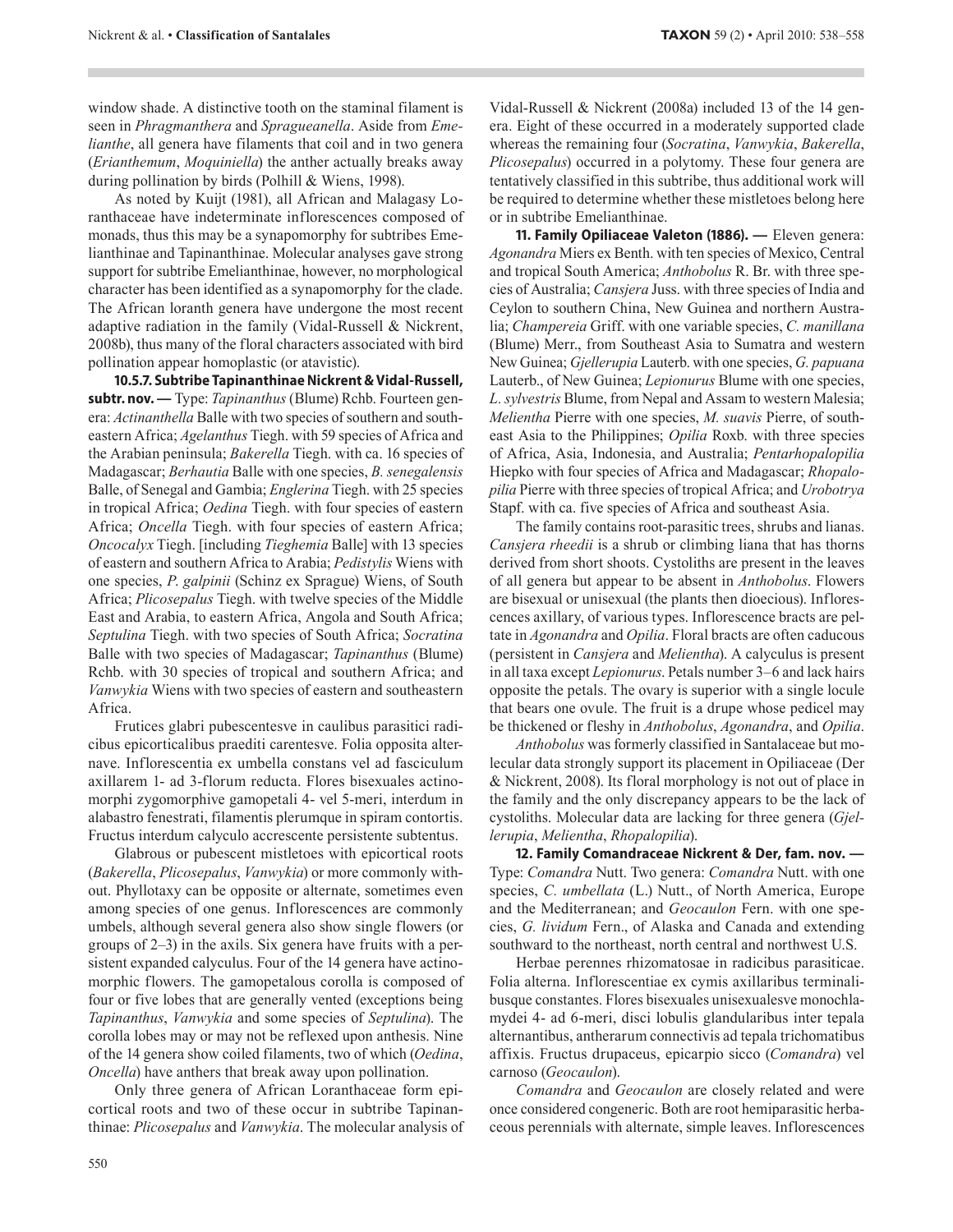window shade. A distinctive tooth on the staminal filament is seen in *Phragmanthera* and *Spragueanella*. Aside from *Emelianthe*, all genera have filaments that coil and in two genera (*Erianthemum*, *Moquiniella*) the anther actually breaks away during pollination by birds (Polhill & Wiens, 1998).

As noted by Kuijt (1981), all African and Malagasy Loranthaceae have indeterminate inflorescences composed of monads, thus this may be a synapomorphy for subtribes Emelianthinae and Tapinanthinae. Molecular analyses gave strong support for subtribe Emelianthinae, however, no morphological character has been identified as a synapomorphy for the clade. The African loranth genera have undergone the most recent adaptive radiation in the family (Vidal-Russell & Nickrent, 2008b), thus many of the floral characters associated with bird pollination appear homoplastic (or atavistic).

**... Subtribe Tapinanthinae Nickrent & Vidal-Russell, subtr. nov. —** Type: *Tapinanthus* (Blume) Rchb. Fourteen genera: *Actinanthella* Balle with two species of southern and southeastern Africa; *Agelanthus* Tiegh. with 59 species of Africa and the Arabian peninsula; *Bakerella* Tiegh. with ca. 16 species of Madagascar; *Berhautia* Balle with one species, *B. senegalensis*  Balle, of Senegal and Gambia; *Englerina* Tiegh. with 25 species in tropical Africa; *Oedina* Tiegh. with four species of eastern Africa; *Oncella* Tiegh. with four species of eastern Africa; *Oncocalyx* Tiegh. [including *Tieghemia* Balle] with 13 species of eastern and southern Africa to Arabia; *Pedistylis* Wiens with one species, *P*. *galpinii* (Schinz ex Sprague) Wiens, of South Africa; *Plicosepalus* Tiegh. with twelve species of the Middle East and Arabia, to eastern Africa, Angola and South Africa; *Septulina* Tiegh. with two species of South Africa; *Socratina* Balle with two species of Madagascar; *Tapinanthus* (Blume) Rchb. with 30 species of tropical and southern Africa; and *Vanwykia* Wiens with two species of eastern and southeastern Africa.

Frutices glabri pubescentesve in caulibus parasitici radicibus epicorticalibus praediti carentesve. Folia opposita alternave. Inflorescentia ex umbella constans vel ad fasciculum axillarem 1- ad 3-florum reducta. Flores bisexuales actinomorphi zygomorphive gamopetali 4- vel 5-meri, interdum in alabastro fenestrati, filamentis plerumque in spiram contortis. Fructus interdum calyculo accrescente persistente subtentus.

Glabrous or pubescent mistletoes with epicortical roots (*Bakerella*, *Plicosepalus*, *Vanwykia*) or more commonly without. Phyllotaxy can be opposite or alternate, sometimes even among species of one genus. Inflorescences are commonly umbels, although several genera also show single flowers (or groups of  $2-3$ ) in the axils. Six genera have fruits with a persistent expanded calyculus. Four of the 14 genera have actinomorphic flowers. The gamopetalous corolla is composed of four or five lobes that are generally vented (exceptions being *Tapinanthus*, *Vanwykia* and some species of *Septulina*). The corolla lobes may or may not be reflexed upon anthesis. Nine of the 14 genera show coiled filaments, two of which (*Oedina*, *Oncella*) have anthers that break away upon pollination.

Only three genera of African Loranthaceae form epicortical roots and two of these occur in subtribe Tapinanthinae: *Plicosepalus* and *Vanwykia*. The molecular analysis of Vidal-Russell & Nickrent (2008a) included 13 of the 14 genera. Eight of these occurred in a moderately supported clade whereas the remaining four (*Socratina*, *Vanwykia*, *Bakerella*, *Plicosepalus*) occurred in a polytomy. These four genera are tentatively classified in this subtribe, thus additional work will be required to determine whether these mistletoes belong here or in subtribe Emelianthinae.

**11. Family Opiliaceae Valeton (1886).** - Eleven genera: *Agonandra* Miers ex Benth. with ten species of Mexico, Central and tropical South America; *Anthobolus* R. Br. with three species of Australia; *Cansjera* Juss. with three species of India and Ceylon to southern China, New Guinea and northern Australia; *Champereia* Griff. with one variable species, *C. manillana* (Blume) Merr., from Southeast Asia to Sumatra and western New Guinea; *Gjellerupia* Lauterb. with one species, *G. papuana*  Lauterb., of New Guinea; *Lepionurus* Blume with one species, *L. sylvestris* Blume, from Nepal and Assam to western Malesia; *Melientha* Pierre with one species, *M. suavis* Pierre, of southeast Asia to the Philippines; *Opilia* Roxb. with three species of Africa, Asia, Indonesia, and Australia; *Pentarhopalopilia* Hiepko with four species of Africa and Madagascar; *Rhopalopilia* Pierre with three species of tropical Africa; and *Urobotrya* Stapf. with ca. five species of Africa and southeast Asia.

The family contains root-parasitic trees, shrubs and lianas. *Cansjera rheedii* is a shrub or climbing liana that has thorns derived from short shoots. Cystoliths are present in the leaves of all genera but appear to be absent in *Anthobolus*. Flowers are bisexual or unisexual (the plants then dioecious). Inflorescences axillary, of various types. Inflorescence bracts are peltate in *Agonandra* and *Opilia*. Floral bracts are often caducous (persistent in *Cansjera* and *Melientha*). A calyculus is present in all taxa except *Lepionurus*. Petals number 3–6 and lack hairs opposite the petals. The ovary is superior with a single locule that bears one ovule. The fruit is a drupe whose pedicel may be thickened or fleshy in *Anthobolus*, *Agonandra*, and *Opilia*.

*Anthobolus* was formerly classified in Santalaceae but molecular data strongly support its placement in Opiliaceae (Der & Nickrent, 2008). Its floral morphology is not out of place in the family and the only discrepancy appears to be the lack of cystoliths. Molecular data are lacking for three genera (*Gjellerupia*, *Melientha*, *Rhopalopilia*).

**. Family Comandraceae Nickrent & Der, fam. nov. —** Type: *Comandra* Nutt. Two genera: *Comandra* Nutt. with one species, *C. umbellata* (L.) Nutt., of North America, Europe and the Mediterranean; and *Geocaulon* Fern. with one species, *G. lividum* Fern., of Alaska and Canada and extending southward to the northeast, north central and northwest U.S.

Herbae perennes rhizomatosae in radicibus parasiticae. Folia alterna. Inflorescentiae ex cymis axillaribus terminalibusque constantes. Flores bisexuales unisexualesve monochlamydei 4- ad 6-meri, disci lobulis glandularibus inter tepala alternantibus, antherarum connectivis ad tepala trichomatibus affixis. Fructus drupaceus, epicarpio sicco (*Comandra*) vel carnoso (*Geocaulon*).

*Comandra* and *Geocaulon* are closely related and were once considered congeneric. Both are root hemiparasitic herbaceous perennials with alternate, simple leaves. Inflorescences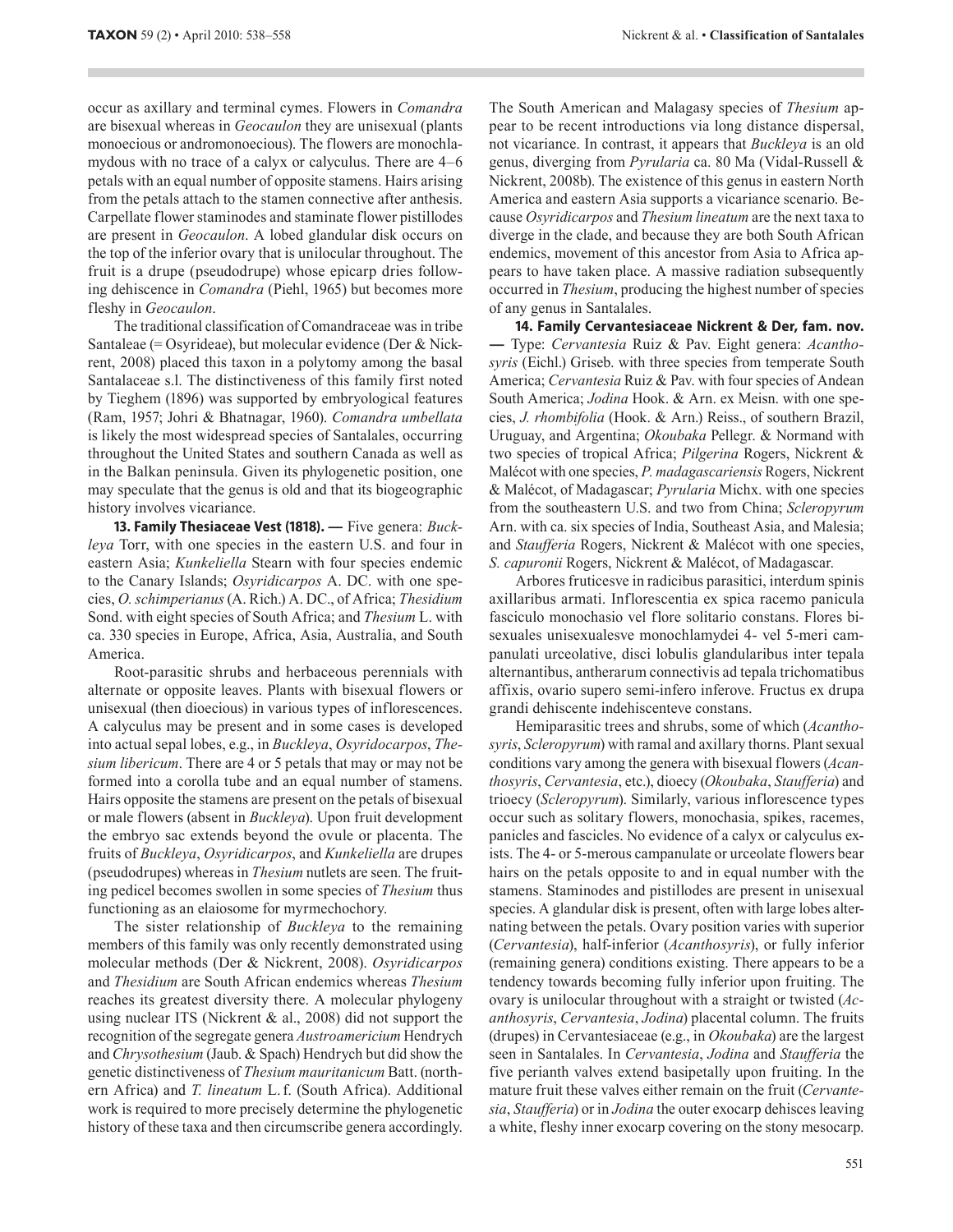occur as axillary and terminal cymes. Flowers in *Comandra* are bisexual whereas in *Geocaulon* they are unisexual (plants monoecious or andromonoecious). The flowers are monochlamydous with no trace of a calyx or calyculus. There are  $4-6$ petals with an equal number of opposite stamens. Hairs arising from the petals attach to the stamen connective after anthesis. Carpellate flower staminodes and staminate flower pistillodes are present in *Geocaulon*. A lobed glandular disk occurs on the top of the inferior ovary that is unilocular throughout. The fruit is a drupe (pseudodrupe) whose epicarp dries following dehiscence in *Comandra* (Piehl, 1965) but becomes more fleshy in *Geocaulon*.

The traditional classification of Comandraceae was in tribe Santaleae (= Osyrideae), but molecular evidence (Der & Nickrent, 2008) placed this taxon in a polytomy among the basal Santalaceae s.l. The distinctiveness of this family first noted by Tieghem (1896) was supported by embryological features (Ram, 1957; Johri & Bhatnagar, 1960). *Comandra umbellata* is likely the most widespread species of Santalales, occurring throughout the United States and southern Canada as well as in the Balkan peninsula. Given its phylogenetic position, one may speculate that the genus is old and that its biogeographic history involves vicariance.

**13. Family Thesiaceae Vest (1818).** — Five genera: *Buckleya* Torr, with one species in the eastern U.S. and four in eastern Asia; *Kunkeliella* Stearn with four species endemic to the Canary Islands; *Osyridicarpos* A. DC. with one species, *O. schimperianus* (A. Rich.) A. DC., of Africa; *Thesidium* Sond. with eight species of South Africa; and *Thesium* L. with ca. 330 species in Europe, Africa, Asia, Australia, and South America.

Root-parasitic shrubs and herbaceous perennials with alternate or opposite leaves. Plants with bisexual flowers or unisexual (then dioecious) in various types of inflorescences. A calyculus may be present and in some cases is developed into actual sepal lobes, e.g., in *Buckleya*, *Osyridocarpos*, *Thesium libericum*. There are 4 or 5 petals that may or may not be formed into a corolla tube and an equal number of stamens. Hairs opposite the stamens are present on the petals of bisexual or male flowers (absent in *Buckleya*). Upon fruit development the embryo sac extends beyond the ovule or placenta. The fruits of *Buckleya*, *Osyridicarpos*, and *Kunkeliella* are drupes (pseudodrupes) whereas in *Thesium* nutlets are seen. The fruiting pedicel becomes swollen in some species of *Thesium* thus functioning as an elaiosome for myrmechochory.

The sister relationship of *Buckleya* to the remaining members of this family was only recently demonstrated using molecular methods (Der & Nickrent, 2008). *Osyridicarpos* and *Thesidium* are South African endemics whereas *Thesium* reaches its greatest diversity there. A molecular phylogeny using nuclear ITS (Nickrent & al., 2008) did not support the recognition of the segregate genera *Austroamericium* Hendrych and *Chrysothesium* (Jaub. & Spach) Hendrych but did show the genetic distinctiveness of *Thesium mauritanicum* Batt. (northern Africa) and *T. lineatum* L. f. (South Africa). Additional work is required to more precisely determine the phylogenetic history of these taxa and then circumscribe genera accordingly. The South American and Malagasy species of *Thesium* appear to be recent introductions via long distance dispersal, not vicariance. In contrast, it appears that *Buckleya* is an old genus, diverging from *Pyrularia* ca. 80 Ma (Vidal-Russell & Nickrent, 2008b). The existence of this genus in eastern North America and eastern Asia supports a vicariance scenario. Because *Osyridicarpos* and *Thesium lineatum* are the next taxa to diverge in the clade, and because they are both South African endemics, movement of this ancestor from Asia to Africa appears to have taken place. A massive radiation subsequently occurred in *Thesium*, producing the highest number of species of any genus in Santalales.

**. Family Cervantesiaceae Nickrent & Der, fam. nov. —** Type: *Cervantesia* Ruiz & Pav. Eight genera: *Acanthosyris* (Eichl.) Griseb. with three species from temperate South America; *Cervantesia* Ruiz & Pav. with four species of Andean South America; *Jodina* Hook. & Arn. ex Meisn. with one species, *J. rhombifolia* (Hook. & Arn.) Reiss., of southern Brazil, Uruguay, and Argentina; *Okoubaka* Pellegr. & Normand with two species of tropical Africa; *Pilgerina* Rogers, Nickrent & Malécot with one species, *P. madagascariensis* Rogers, Nickrent & Malécot, of Madagascar; *Pyrularia* Michx. with one species from the southeastern U.S. and two from China; *Scleropyrum* Arn. with ca. six species of India, Southeast Asia, and Malesia; and *Staufferia* Rogers, Nickrent & Malécot with one species, *S. capuronii* Rogers, Nickrent & Malécot, of Madagascar.

Arbores fruticesve in radicibus parasitici, interdum spinis axillaribus armati. Inflorescentia ex spica racemo panicula fasciculo monochasio vel flore solitario constans. Flores bisexuales unisexualesve monochlamydei 4- vel 5-meri campanulati urceolative, disci lobulis glandularibus inter tepala alternantibus, antherarum connectivis ad tepala trichomatibus affixis, ovario supero semi-infero inferove. Fructus ex drupa grandi dehiscente indehiscenteve constans.

Hemiparasitic trees and shrubs, some of which (*Acanthosyris*, *Scleropyrum*) with ramal and axillary thorns. Plant sexual conditions vary among the genera with bisexual flowers (*Acanthosyris*, *Cervantesia*, etc.), dioecy (*Okoubaka*, *Staufferia*) and trioecy (*Scleropyrum*). Similarly, various inflorescence types occur such as solitary flowers, monochasia, spikes, racemes, panicles and fascicles. No evidence of a calyx or calyculus exists. The 4- or 5-merous campanulate or urceolate flowers bear hairs on the petals opposite to and in equal number with the stamens. Staminodes and pistillodes are present in unisexual species. A glandular disk is present, often with large lobes alternating between the petals. Ovary position varies with superior (*Cervantesia*), half-inferior (*Acanthosyris*), or fully inferior (remaining genera) conditions existing. There appears to be a tendency towards becoming fully inferior upon fruiting. The ovary is unilocular throughout with a straight or twisted (*Acanthosyris*, *Cervantesia*, *Jodina*) placental column. The fruits (drupes) in Cervantesiaceae (e.g., in *Okoubaka*) are the largest seen in Santalales. In *Cervantesia*, *Jodina* and *Staufferia* the five perianth valves extend basipetally upon fruiting. In the mature fruit these valves either remain on the fruit (*Cervantesia*, *Staufferia*) or in *Jodina* the outer exocarp dehisces leaving a white, fleshy inner exocarp covering on the stony mesocarp.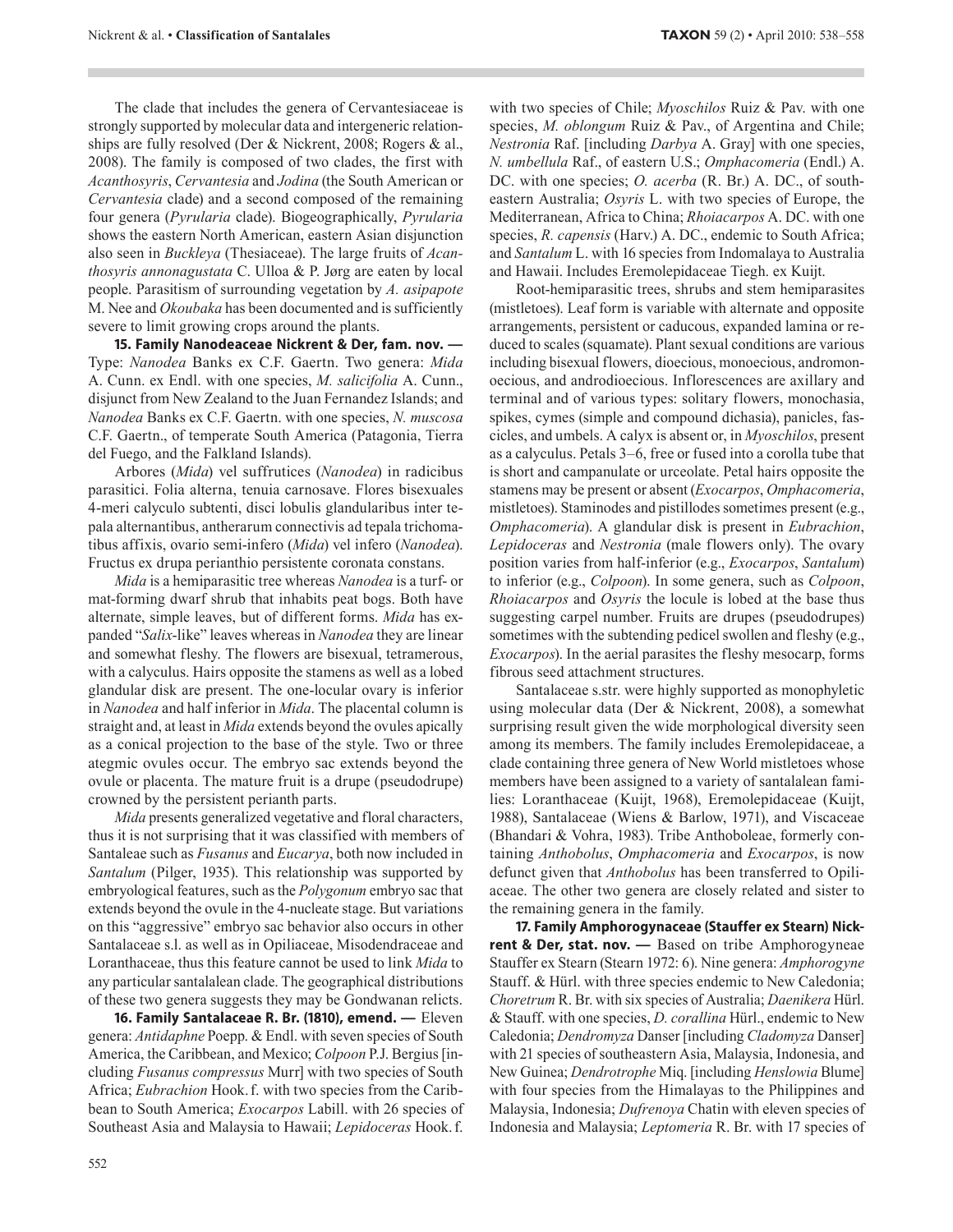The clade that includes the genera of Cervantesiaceae is strongly supported by molecular data and intergeneric relationships are fully resolved (Der & Nickrent, 2008; Rogers & al., 2008). The family is composed of two clades, the first with *Acanthosyris*, *Cervantesia* and *Jodina* (the South American or *Cervantesia* clade) and a second composed of the remaining four genera (*Pyrularia* clade). Biogeographically, *Pyrularia* shows the eastern North American, eastern Asian disjunction also seen in *Buckleya* (Thesiaceae). The large fruits of *Acanthosyris annonagustata* C. Ulloa & P. Jørg are eaten by local people. Parasitism of surrounding vegetation by *A. asipapote* M. Nee and *Okoubaka* has been documented and is sufficiently severe to limit growing crops around the plants.

**. Family Nanodeaceae Nickrent & Der, fam. nov. —** Type: *Nanodea* Banks ex C.F. Gaertn. Two genera: *Mida*  A. Cunn. ex Endl. with one species, *M. salicifolia* A. Cunn., disjunct from New Zealand to the Juan Fernandez Islands; and *Nanodea* Banks ex C.F. Gaertn. with one species, *N. muscosa*  C.F. Gaertn., of temperate South America (Patagonia, Tierra del Fuego, and the Falkland Islands).

Arbores (*Mida*) vel suffrutices (*Nanodea*) in radicibus parasitici. Folia alterna, tenuia carnosave. Flores bisexuales 4-meri calyculo subtenti, disci lobulis glandularibus inter tepala alternantibus, antherarum connectivis ad tepala trichomatibus affixis, ovario semi-infero (*Mida*) vel infero (*Nanodea*). Fructus ex drupa perianthio persistente coronata constans.

*Mida* is a hemiparasitic tree whereas *Nanodea* is a turf- or mat-forming dwarf shrub that inhabits peat bogs. Both have alternate, simple leaves, but of different forms. *Mida* has expanded "*Salix*-like" leaves whereas in *Nanodea* they are linear and somewhat fleshy. The flowers are bisexual, tetramerous, with a calyculus. Hairs opposite the stamens as well as a lobed glandular disk are present. The one-locular ovary is inferior in *Nanodea* and half inferior in *Mida*. The placental column is straight and, at least in *Mida* extends beyond the ovules apically as a conical projection to the base of the style. Two or three ategmic ovules occur. The embryo sac extends beyond the ovule or placenta. The mature fruit is a drupe (pseudodrupe) crowned by the persistent perianth parts.

*Mida* presents generalized vegetative and floral characters, thus it is not surprising that it was classified with members of Santaleae such as *Fusanus* and *Eucarya*, both now included in *Santalum* (Pilger, 1935). This relationship was supported by embryological features, such as the *Polygonum* embryo sac that extends beyond the ovule in the 4-nucleate stage. But variations on this "aggressive" embryo sac behavior also occurs in other Santalaceae s.l. as well as in Opiliaceae, Misodendraceae and Loranthaceae, thus this feature cannot be used to link *Mida* to any particular santalalean clade. The geographical distributions of these two genera suggests they may be Gondwanan relicts.

16. Family Santalaceae R. Br. (1810), emend. - Eleven genera: *Antidaphne* Poepp. & Endl. with seven species of South America, the Caribbean, and Mexico; *Colpoon* P.J. Bergius [including *Fusanus compressus* Murr] with two species of South Africa; *Eubrachion* Hook. f. with two species from the Caribbean to South America; *Exocarpos* Labill. with 26 species of Southeast Asia and Malaysia to Hawaii; *Lepidoceras* Hook. f.

with two species of Chile; *Myoschilos* Ruiz & Pav. with one species, *M. oblongum* Ruiz & Pav., of Argentina and Chile; *Nestronia* Raf. [including *Darbya* A. Gray] with one species, *N. umbellula* Raf., of eastern U.S.; *Omphacomeria* (Endl.) A. DC. with one species; *O. acerba* (R. Br.) A. DC., of southeastern Australia; *Osyris* L. with two species of Europe, the Mediterranean, Africa to China; *Rhoiacarpos* A. DC. with one species, *R. capensis* (Harv.) A. DC., endemic to South Africa; and *Santalum* L. with 16 species from Indomalaya to Australia and Hawaii. Includes Eremolepidaceae Tiegh. ex Kuijt.

Root-hemiparasitic trees, shrubs and stem hemiparasites (mistletoes). Leaf form is variable with alternate and opposite arrangements, persistent or caducous, expanded lamina or reduced to scales (squamate). Plant sexual conditions are various including bisexual flowers, dioecious, monoecious, andromonoecious, and androdioecious. Inflorescences are axillary and terminal and of various types: solitary flowers, monochasia, spikes, cymes (simple and compound dichasia), panicles, fascicles, and umbels. A calyx is absent or, in *Myoschilos*, present as a calyculus. Petals 3–6, free or fused into a corolla tube that is short and campanulate or urceolate. Petal hairs opposite the stamens may be present or absent (*Exocarpos*, *Omphacomeria*, mistletoes). Staminodes and pistillodes sometimes present (e.g., *Omphacomeria*). A glandular disk is present in *Eubrachion*, *Lepidoceras* and *Nestronia* (male flowers only). The ovary position varies from half-inferior (e.g., *Exocarpos*, *Santalum*) to inferior (e.g., *Colpoon*). In some genera, such as *Colpoon*, *Rhoiacarpos* and *Osyris* the locule is lobed at the base thus suggesting carpel number. Fruits are drupes (pseudodrupes) sometimes with the subtending pedicel swollen and fleshy (e.g., *Exocarpos*). In the aerial parasites the fleshy mesocarp, forms fibrous seed attachment structures.

Santalaceae s.str. were highly supported as monophyletic using molecular data (Der & Nickrent, 2008), a somewhat surprising result given the wide morphological diversity seen among its members. The family includes Eremolepidaceae, a clade containing three genera of New World mistletoes whose members have been assigned to a variety of santalalean families: Loranthaceae (Kuijt, 1968), Eremolepidaceae (Kuijt, 1988), Santalaceae (Wiens & Barlow, 1971), and Viscaceae (Bhandari & Vohra, 1983). Tribe Anthoboleae, formerly containing *Anthobolus*, *Omphacomeria* and *Exocarpos*, is now defunct given that *Anthobolus* has been transferred to Opiliaceae. The other two genera are closely related and sister to the remaining genera in the family.

**. Family Amphorogynaceae (Stauffer ex Stearn) Nickrent & Der, stat. nov. —** Based on tribe Amphorogyneae Stauffer ex Stearn (Stearn 1972: 6). Nine genera: *Amphorogyne* Stauff. & Hürl. with three species endemic to New Caledonia; *Choretrum* R. Br. with six species of Australia; *Daenikera* Hürl. & Stauff. with one species, *D. corallina* Hürl., endemic to New Caledonia; *Dendromyza* Danser [including *Cladomyza* Danser] with 21 species of southeastern Asia, Malaysia, Indonesia, and New Guinea; *Dendrotrophe* Miq. [including *Henslowia* Blume] with four species from the Himalayas to the Philippines and Malaysia, Indonesia; *Dufrenoya* Chatin with eleven species of Indonesia and Malaysia; *Leptomeria* R. Br. with 17 species of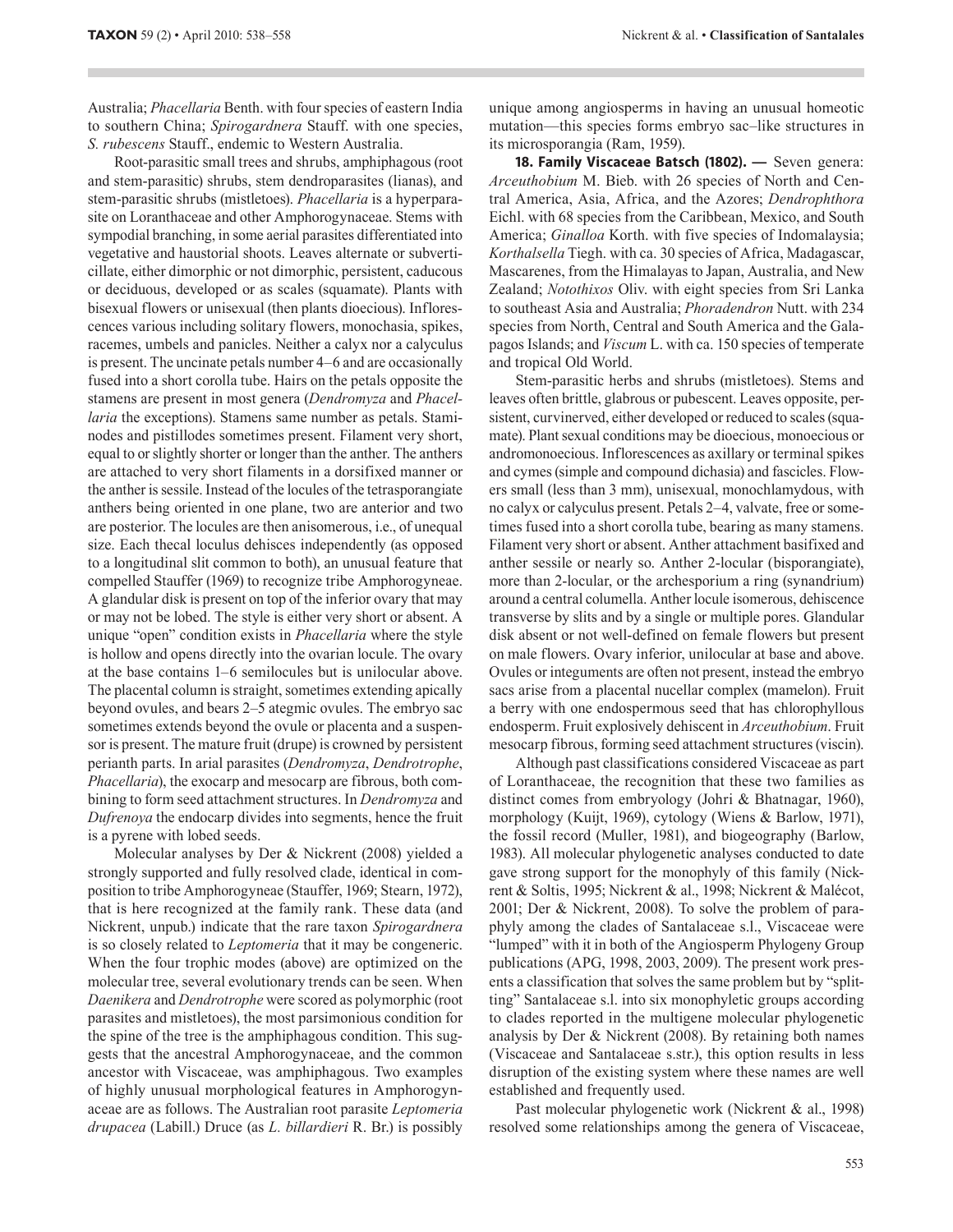Australia; *Phacellaria* Benth. with four species of eastern India to southern China; *Spirogardnera* Stauff. with one species, *S. rubescens* Stauff., endemic to Western Australia.

Root-parasitic small trees and shrubs, amphiphagous (root and stem-parasitic) shrubs, stem dendroparasites (lianas), and stem-parasitic shrubs (mistletoes). *Phacellaria* is a hyperparasite on Loranthaceae and other Amphorogynaceae. Stems with sympodial branching, in some aerial parasites differentiated into vegetative and haustorial shoots. Leaves alternate or subverticillate, either dimorphic or not dimorphic, persistent, caducous or deciduous, developed or as scales (squamate). Plants with bisexual flowers or unisexual (then plants dioecious). Inflorescences various including solitary flowers, monochasia, spikes, racemes, umbels and panicles. Neither a calyx nor a calyculus is present. The uncinate petals number 4–6 and are occasionally fused into a short corolla tube. Hairs on the petals opposite the stamens are present in most genera (*Dendromyza* and *Phacellaria* the exceptions). Stamens same number as petals. Staminodes and pistillodes sometimes present. Filament very short, equal to or slightly shorter or longer than the anther. The anthers are attached to very short filaments in a dorsifixed manner or the anther is sessile. Instead of the locules of the tetrasporangiate anthers being oriented in one plane, two are anterior and two are posterior. The locules are then anisomerous, i.e., of unequal size. Each thecal loculus dehisces independently (as opposed to a longitudinal slit common to both), an unusual feature that compelled Stauffer (1969) to recognize tribe Amphorogyneae. A glandular disk is present on top of the inferior ovary that may or may not be lobed. The style is either very short or absent. A unique "open" condition exists in *Phacellaria* where the style is hollow and opens directly into the ovarian locule. The ovary at the base contains 1–6 semilocules but is unilocular above. The placental column is straight, sometimes extending apically beyond ovules, and bears 2–5 ategmic ovules. The embryo sac sometimes extends beyond the ovule or placenta and a suspensor is present. The mature fruit (drupe) is crowned by persistent perianth parts. In arial parasites (*Dendromyza*, *Dendrotrophe*, *Phacellaria*), the exocarp and mesocarp are fibrous, both combining to form seed attachment structures. In *Dendromyza* and *Dufrenoya* the endocarp divides into segments, hence the fruit is a pyrene with lobed seeds.

Molecular analyses by Der & Nickrent (2008) yielded a strongly supported and fully resolved clade, identical in composition to tribe Amphorogyneae (Stauffer, 1969; Stearn, 1972), that is here recognized at the family rank. These data (and Nickrent, unpub.) indicate that the rare taxon *Spirogardnera* is so closely related to *Leptomeria* that it may be congeneric. When the four trophic modes (above) are optimized on the molecular tree, several evolutionary trends can be seen. When *Daenikera* and *Dendrotrophe* were scored as polymorphic (root parasites and mistletoes), the most parsimonious condition for the spine of the tree is the amphiphagous condition. This suggests that the ancestral Amphorogynaceae, and the common ancestor with Viscaceae, was amphiphagous. Two examples of highly unusual morphological features in Amphorogynaceae are as follows. The Australian root parasite *Leptomeria drupacea* (Labill.) Druce (as *L. billardieri* R. Br.) is possibly unique among angiosperms in having an unusual homeotic mutation—this species forms embryo sac-like structures in its microsporangia (Ram, 1959).

18. Family Viscaceae Batsch (1802). - Seven genera: *Arceuthobium* M. Bieb. with 26 species of North and Central America, Asia, Africa, and the Azores; *Dendrophthora*  Eichl. with 68 species from the Caribbean, Mexico, and South America; *Ginalloa* Korth. with five species of Indomalaysia; *Korthalsella* Tiegh. with ca. 30 species of Africa, Madagascar, Mascarenes, from the Himalayas to Japan, Australia, and New Zealand; *Notothixos* Oliv. with eight species from Sri Lanka to southeast Asia and Australia; *Phoradendron* Nutt. with 234 species from North, Central and South America and the Galapagos Islands; and *Viscum* L. with ca. 150 species of temperate and tropical Old World.

Stem-parasitic herbs and shrubs (mistletoes). Stems and leaves often brittle, glabrous or pubescent. Leaves opposite, persistent, curvinerved, either developed or reduced to scales (squamate). Plant sexual conditions may be dioecious, monoecious or andromonoecious. Inflorescences as axillary or terminal spikes and cymes (simple and compound dichasia) and fascicles. Flowers small (less than 3 mm), unisexual, monochlamydous, with no calyx or calyculus present. Petals 2–4, valvate, free or sometimes fused into a short corolla tube, bearing as many stamens. Filament very short or absent. Anther attachment basifixed and anther sessile or nearly so. Anther 2-locular (bisporangiate), more than 2-locular, or the archesporium a ring (synandrium) around a central columella. Anther locule isomerous, dehiscence transverse by slits and by a single or multiple pores. Glandular disk absent or not well-defined on female flowers but present on male flowers. Ovary inferior, unilocular at base and above. Ovules or integuments are often not present, instead the embryo sacs arise from a placental nucellar complex (mamelon). Fruit a berry with one endospermous seed that has chlorophyllous endosperm. Fruit explosively dehiscent in *Arceuthobium*. Fruit mesocarp fibrous, forming seed attachment structures (viscin).

Although past classifications considered Viscaceae as part of Loranthaceae, the recognition that these two families as distinct comes from embryology (Johri & Bhatnagar, 1960), morphology (Kuijt, 1969), cytology (Wiens & Barlow, 1971), the fossil record (Muller, 1981), and biogeography (Barlow, 1983). All molecular phylogenetic analyses conducted to date gave strong support for the monophyly of this family (Nickrent & Soltis, 1995; Nickrent & al., 1998; Nickrent & Malécot, 2001; Der & Nickrent, 2008). To solve the problem of paraphyly among the clades of Santalaceae s.l., Viscaceae were "lumped" with it in both of the Angiosperm Phylogeny Group publications (APG, 1998, 2003, 2009). The present work presents a classification that solves the same problem but by "splitting" Santalaceae s.l. into six monophyletic groups according to clades reported in the multigene molecular phylogenetic analysis by Der & Nickrent (2008). By retaining both names (Viscaceae and Santalaceae s.str.), this option results in less disruption of the existing system where these names are well established and frequently used.

Past molecular phylogenetic work (Nickrent & al., 1998) resolved some relationships among the genera of Viscaceae,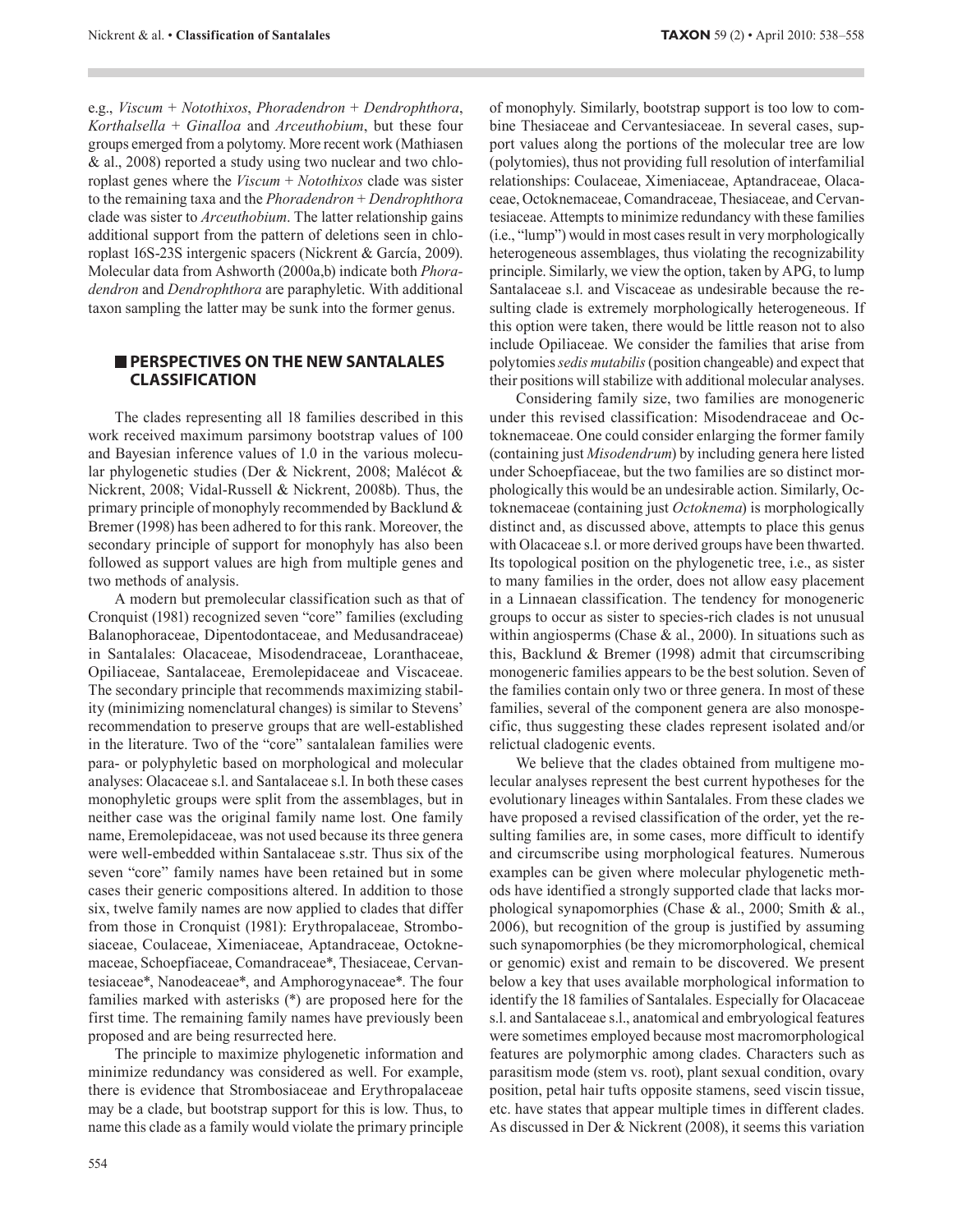e.g., *Viscum* + *Notothixos*, *Phoradendron* + *Dendrophthora*, *Korthalsella* + *Ginalloa* and *Arceuthobium*, but these four groups emerged from a polytomy. More recent work (Mathiasen & al., 2008) reported a study using two nuclear and two chloroplast genes where the *Viscum* + *Notothixos* clade was sister to the remaining taxa and the *Phoradendron* + *Dendrophthora* clade was sister to *Arceuthobium*. The latter relationship gains additional support from the pattern of deletions seen in chloroplast 16S-23S intergenic spacers (Nickrent & García, 2009). Molecular data from Ashworth (2000a,b) indicate both *Phoradendron* and *Dendrophthora* are paraphyletic. With additional taxon sampling the latter may be sunk into the former genus.

#### **PERSPECTIVES ON THE NEW SANTALALES CLASSIFICATION**

The clades representing all 18 families described in this work received maximum parsimony bootstrap values of 100 and Bayesian inference values of 1.0 in the various molecular phylogenetic studies (Der & Nickrent, 2008; Malécot & Nickrent, 2008; Vidal-Russell & Nickrent, 2008b). Thus, the primary principle of monophyly recommended by Backlund & Bremer (1998) has been adhered to for this rank. Moreover, the secondary principle of support for monophyly has also been followed as support values are high from multiple genes and two methods of analysis.

A modern but premolecular classification such as that of Cronquist (1981) recognized seven "core" families (excluding Balanophoraceae, Dipentodontaceae, and Medusandraceae) in Santalales: Olacaceae, Misodendraceae, Loranthaceae, Opiliaceae, Santalaceae, Eremolepidaceae and Viscaceae. The secondary principle that recommends maximizing stability (minimizing nomenclatural changes) is similar to Stevens' recommendation to preserve groups that are well-established in the literature. Two of the "core" santalalean families were para- or polyphyletic based on morphological and molecular analyses: Olacaceae s.l. and Santalaceae s.l. In both these cases monophyletic groups were split from the assemblages, but in neither case was the original family name lost. One family name, Eremolepidaceae, was not used because its three genera were well-embedded within Santalaceae s.str. Thus six of the seven "core" family names have been retained but in some cases their generic compositions altered. In addition to those six, twelve family names are now applied to clades that differ from those in Cronquist (1981): Erythropalaceae, Strombosiaceae, Coulaceae, Ximeniaceae, Aptandraceae, Octoknemaceae, Schoepfiaceae, Comandraceae\*, Thesiaceae, Cervantesiaceae\*, Nanodeaceae\*, and Amphorogynaceae\*. The four families marked with asterisks (\*) are proposed here for the first time. The remaining family names have previously been proposed and are being resurrected here.

The principle to maximize phylogenetic information and minimize redundancy was considered as well. For example, there is evidence that Strombosiaceae and Erythropalaceae may be a clade, but bootstrap support for this is low. Thus, to name this clade as a family would violate the primary principle of monophyly. Similarly, bootstrap support is too low to combine Thesiaceae and Cervantesiaceae. In several cases, support values along the portions of the molecular tree are low (polytomies), thus not providing full resolution of interfamilial relationships: Coulaceae, Ximeniaceae, Aptandraceae, Olacaceae, Octoknemaceae, Comandraceae, Thesiaceae, and Cervantesiaceae. Attempts to minimize redundancy with these families (i.e., "lump") would in most cases result in very morphologically heterogeneous assemblages, thus violating the recognizability principle. Similarly, we view the option, taken by APG, to lump Santalaceae s.l. and Viscaceae as undesirable because the resulting clade is extremely morphologically heterogeneous. If this option were taken, there would be little reason not to also include Opiliaceae. We consider the families that arise from polytomies *sedis mutabilis* (position changeable) and expect that their positions will stabilize with additional molecular analyses.

Considering family size, two families are monogeneric under this revised classification: Misodendraceae and Octoknemaceae. One could consider enlarging the former family (containing just *Misodendrum*) by including genera here listed under Schoepfiaceae, but the two families are so distinct morphologically this would be an undesirable action. Similarly, Octoknemaceae (containing just *Octoknema*) is morphologically distinct and, as discussed above, attempts to place this genus with Olacaceae s.l. or more derived groups have been thwarted. Its topological position on the phylogenetic tree, i.e., as sister to many families in the order, does not allow easy placement in a Linnaean classification. The tendency for monogeneric groups to occur as sister to species-rich clades is not unusual within angiosperms (Chase  $\&$  al., 2000). In situations such as this, Backlund & Bremer (1998) admit that circumscribing monogeneric families appears to be the best solution. Seven of the families contain only two or three genera. In most of these families, several of the component genera are also monospecific, thus suggesting these clades represent isolated and/or relictual cladogenic events.

We believe that the clades obtained from multigene molecular analyses represent the best current hypotheses for the evolutionary lineages within Santalales. From these clades we have proposed a revised classification of the order, yet the resulting families are, in some cases, more difficult to identify and circumscribe using morphological features. Numerous examples can be given where molecular phylogenetic methods have identified a strongly supported clade that lacks morphological synapomorphies (Chase & al., 2000; Smith & al., 2006), but recognition of the group is justified by assuming such synapomorphies (be they micromorphological, chemical or genomic) exist and remain to be discovered. We present below a key that uses available morphological information to identify the 18 families of Santalales. Especially for Olacaceae s.l. and Santalaceae s.l., anatomical and embryological features were sometimes employed because most macromorphological features are polymorphic among clades. Characters such as parasitism mode (stem vs. root), plant sexual condition, ovary position, petal hair tufts opposite stamens, seed viscin tissue, etc. have states that appear multiple times in different clades. As discussed in Der & Nickrent (2008), it seems this variation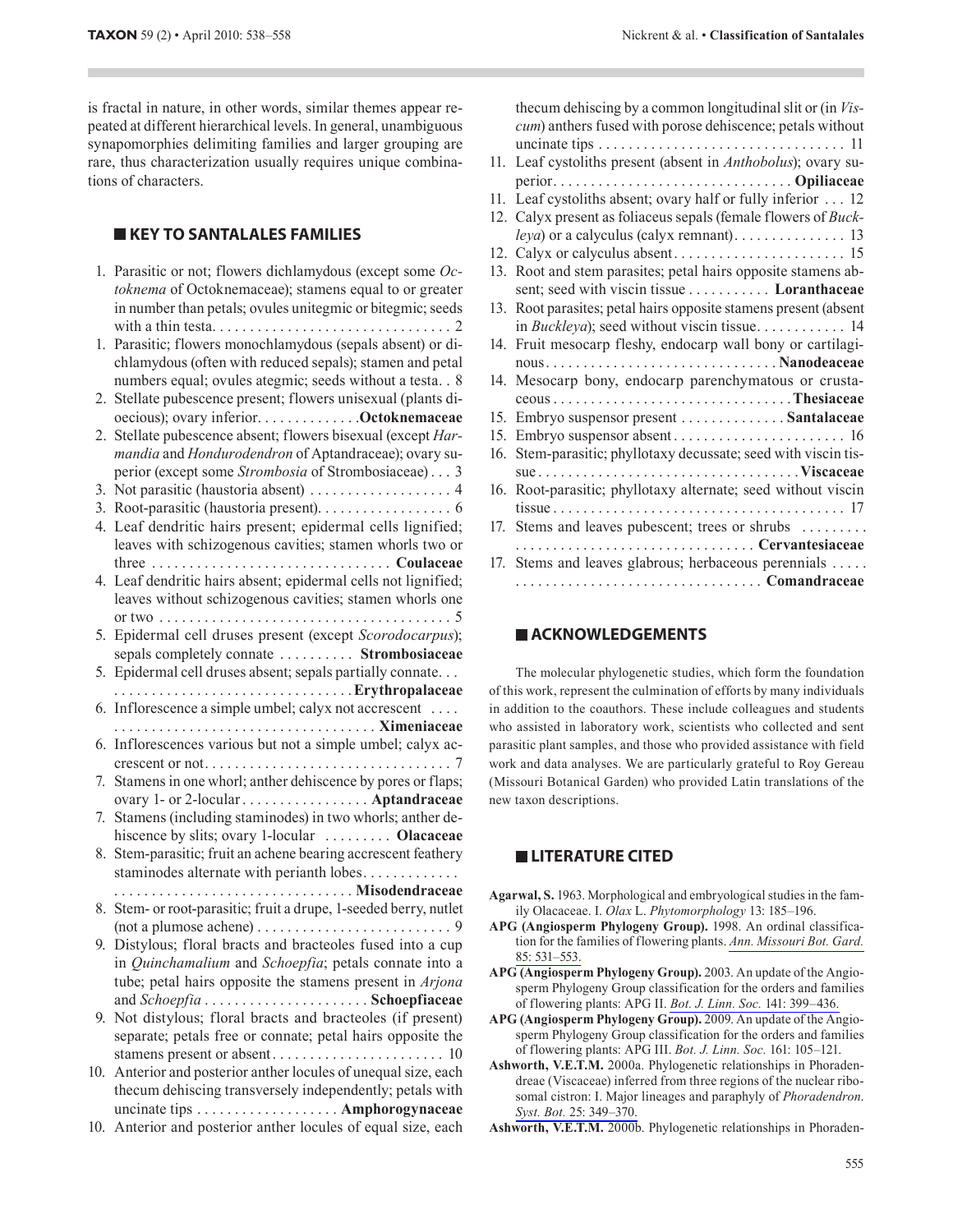is fractal in nature, in other words, similar themes appear repeated at different hierarchical levels. In general, unambiguous synapomorphies delimiting families and larger grouping are rare, thus characterization usually requires unique combinations of characters.

# **KEY TO SANTALALES FAMILIES**

|     | 1. Parasitic or not; flowers dichlamydous (except some Oc-                                 |
|-----|--------------------------------------------------------------------------------------------|
|     | toknema of Octoknemaceae); stamens equal to or greater                                     |
|     | in number than petals; ovules unitegmic or bitegmic; seeds                                 |
|     |                                                                                            |
| 1.  | Parasitic; flowers monochlamydous (sepals absent) or di-                                   |
|     | chlamydous (often with reduced sepals); stamen and petal                                   |
|     | numbers equal; ovules ategmic; seeds without a testa. . 8                                  |
|     | 2. Stellate pubescence present; flowers unisexual (plants di-                              |
|     | oecious); ovary inferiorOctoknemaceae                                                      |
|     | 2. Stellate pubescence absent; flowers bisexual (except Har-                               |
|     | mandia and Hondurodendron of Aptandraceae); ovary su-                                      |
|     | perior (except some Strombosia of Strombosiaceae)3                                         |
|     |                                                                                            |
| 3.  |                                                                                            |
|     | 4. Leaf dendritic hairs present; epidermal cells lignified;                                |
|     | leaves with schizogenous cavities; stamen whorls two or                                    |
|     |                                                                                            |
|     | 4. Leaf dendritic hairs absent; epidermal cells not lignified;                             |
|     | leaves without schizogenous cavities; stamen whorls one                                    |
|     |                                                                                            |
|     | 5. Epidermal cell druses present (except Scorodocarpus);                                   |
|     | sepals completely connate  Strombosiaceae                                                  |
|     | 5. Epidermal cell druses absent; sepals partially connate                                  |
|     |                                                                                            |
|     |                                                                                            |
|     |                                                                                            |
|     | 6. Inflorescence a simple umbel; calyx not accrescent                                      |
|     | Ximeniaceae                                                                                |
|     | 6. Inflorescences various but not a simple umbel; calyx ac-                                |
|     |                                                                                            |
| 7.  | Stamens in one whorl; anther dehiscence by pores or flaps;                                 |
|     | ovary 1- or 2-locular Aptandraceae                                                         |
| 7.  | Stamens (including staminodes) in two whorls; anther de-                                   |
|     | hiscence by slits; ovary 1-locular  Olacaceae                                              |
| 8.  | Stem-parasitic; fruit an achene bearing accrescent feathery                                |
|     | staminodes alternate with perianth lobes                                                   |
|     | Misodendraceae                                                                             |
|     | 8. Stem- or root-parasitic; fruit a drupe, 1-seeded berry, nutlet                          |
|     | $(not a plumose achen). \ldots \ldots \ldots \ldots \ldots \ldots \ldots$                  |
|     | 9. Distylous; floral bracts and bracteoles fused into a cup                                |
|     | in Quinchamalium and Schoepfia; petals connate into a                                      |
|     | tube; petal hairs opposite the stamens present in Arjona                                   |
|     |                                                                                            |
| 9.  | Not distylous; floral bracts and bracteoles (if present)                                   |
|     | separate; petals free or connate; petal hairs opposite the                                 |
|     |                                                                                            |
| 10. | Anterior and posterior anther locules of unequal size, each                                |
|     | thecum dehiscing transversely independently; petals with                                   |
| 10. | uncinate tips Amphorogynaceae<br>Anterior and posterior anther locules of equal size, each |

|     | thecum dehiscing by a common longitudinal slit or (in Vis-       |
|-----|------------------------------------------------------------------|
|     | cum) anthers fused with porose dehiscence; petals without        |
|     |                                                                  |
| 11. | Leaf cystoliths present (absent in Anthobolus); ovary su-        |
|     |                                                                  |
| 11. | Leaf cystoliths absent; ovary half or fully inferior 12          |
|     | 12. Calyx present as foliaceus sepals (female flowers of Buck-   |
|     |                                                                  |
|     |                                                                  |
|     | 13. Root and stem parasites; petal hairs opposite stamens ab-    |
|     | sent; seed with viscin tissue Loranthaceae                       |
|     | 13. Root parasites; petal hairs opposite stamens present (absent |
|     | in <i>Buckleya</i> ); seed without viscin tissue 14              |
|     | 14. Fruit mesocarp fleshy, endocarp wall bony or cartilagi-      |
|     |                                                                  |
| 14. | Mesocarp bony, endocarp parenchymatous or crusta-                |
|     |                                                                  |
| 15. | Embryo suspensor present Santalaceae                             |
| 15. |                                                                  |
| 16. | Stem-parasitic; phyllotaxy decussate; seed with viscin tis-      |
|     |                                                                  |
|     | 16. Root-parasitic; phyllotaxy alternate; seed without viscin    |
|     |                                                                  |
| 17. | Stems and leaves pubescent; trees or shrubs                      |
|     | Cervantesiaceae                                                  |
|     | 17. Stems and leaves glabrous; herbaceous perennials             |
|     |                                                                  |

# **ACKNOWLEDGEMENTS**

The molecular phylogenetic studies, which form the foundation of this work, represent the culmination of efforts by many individuals in addition to the coauthors. These include colleagues and students who assisted in laboratory work, scientists who collected and sent parasitic plant samples, and those who provided assistance with field work and data analyses. We are particularly grateful to Roy Gereau (Missouri Botanical Garden) who provided Latin translations of the new taxon descriptions.

# **LITERATURE CITED**

- **Agarwal, S.** 1963. Morphological and embryological studies in the family Olacaceae. I. *Olax* L. *Phytomorphology* 13: 185-196.
- **APG (Angiosperm Phylogeny Group).** 1998. An ordinal classification for the families of flowering plants. *Ann. Missouri Bot. Gard.* 85: 531-553.
- **APG (Angiosperm Phylogeny Group).** 2003. An update of the Angiosperm Phylogeny Group classification for the orders and families of flowering plants: APG II. *Bot. J. Linn. Soc.* 141: 399-436.
- **APG (Angiosperm Phylogeny Group).** 2009. An update of the Angiosperm Phylogeny Group classification for the orders and families of flowering plants: APG III. *Bot. J. Linn. Soc.* 161: 105-121.
- **Ashworth, V.E.T.M.** 2000a. Phylogenetic relationships in Phoradendreae (Viscaceae) inferred from three regions of the nuclear ribosomal cistron: I. Major lineages and paraphyly of *Phoradendron*. Syst. Bot. 25: 349-370.
- **Ashworth, V.E.T.M.** 2000b. Phylogenetic relationships in Phoraden-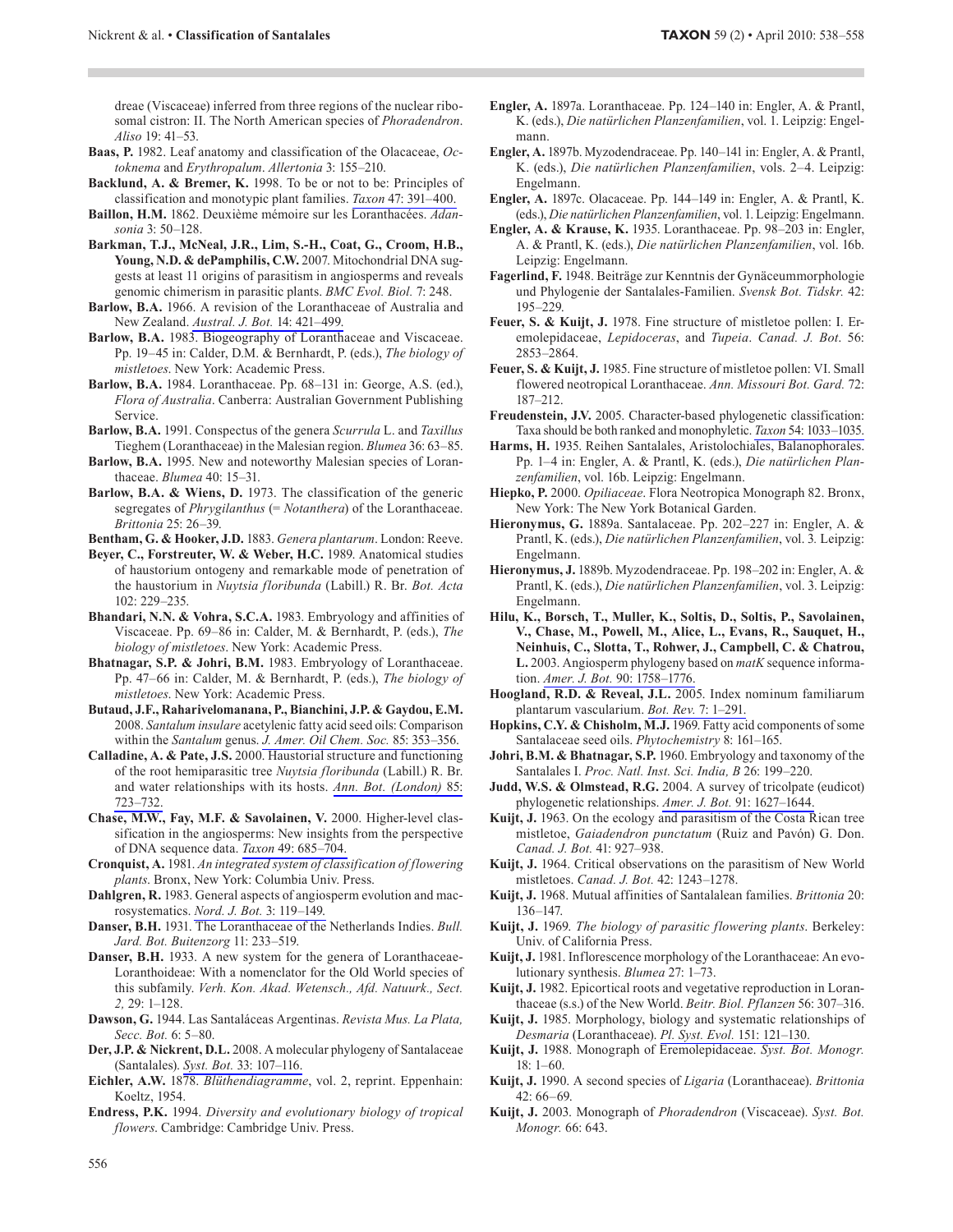dreae (Viscaceae) inferred from three regions of the nuclear ribosomal cistron: II. The North American species of *Phoradendron*. Aliso 19: 41-53.

- **Baas, P.** 1982. Leaf anatomy and classification of the Olacaceae, *Octoknema* and *Erythropalum*. *Allertonia* 3: 155-210.
- **Backlund, A. & Bremer, K.** 1998. To be or not to be: Principles of classification and monotypic plant families. *Taxon* 47: 391-400.
- **Baillon, H.M.** 1862. Deuxième mémoire sur les Loranthacées. *Adan*sonia 3: 50-128.
- **Barkman, T.J., McNeal, J.R., Lim, S.-H., Coat, G., Croom, H.B., Young, N.D. & dePamphilis, C.W.** 2007. Mitochondrial DNA suggests at least 11 origins of parasitism in angiosperms and reveals genomic chimerism in parasitic plants. *BMC Evol. Biol.* 7: 248.
- **Barlow, B.A.** 1966. A revision of the Loranthaceae of Australia and New Zealand. Austral. J. Bot. 14: 421-499.
- **Barlow, B.A.** 1983. Biogeography of Loranthaceae and Viscaceae. Pp. 19-45 in: Calder, D.M. & Bernhardt, P. (eds.), *The biology of mistletoes*. New York: Academic Press.
- Barlow, B.A. 1984. Loranthaceae. Pp. 68-131 in: George, A.S. (ed.), *Flora of Australia*. Canberra: Australian Government Publishing Service.
- **Barlow, B.A.** 1991. Conspectus of the genera *Scurrula* L. and *Taxillus* Tieghem (Loranthaceae) in the Malesian region. *Blumea* 36: 63–85.
- **Barlow, B.A.** 1995. New and noteworthy Malesian species of Loranthaceae. *Blumea* 40: 15-31.
- **Barlow, B.A. & Wiens, D.** 1973. The classification of the generic segregates of *Phrygilanthus* (= *Notanthera*) of the Loranthaceae. *Brittonia* 25: 26-39.

**Bentham, G. & Hooker, J.D.** 1883. *Genera plantarum*. London: Reeve.

- **Beyer, C., Forstreuter, W. & Weber, H.C.** 1989. Anatomical studies of haustorium ontogeny and remarkable mode of penetration of the haustorium in *Nuytsia floribunda* (Labill.) R. Br. *Bot. Acta*  102: 229-235.
- **Bhandari, N.N. & Vohra, S.C.A.** 1983. Embryology and affinities of Viscaceae. Pp. 69-86 in: Calder, M. & Bernhardt, P. (eds.), *The biology of mistletoes*. New York: Academic Press.
- **Bhatnagar, S.P. & Johri, B.M.** 1983. Embryology of Loranthaceae. Pp. 47-66 in: Calder, M. & Bernhardt, P. (eds.), *The biology of mistletoes*. New York: Academic Press.
- **Butaud, J.F., Raharivelomanana, P., Bianchini, J.P. & Gaydou, E.M.**  2008. *Santalum insulare* acetylenic fatty acid seed oils: Comparison within the *Santalum* genus. *J. Amer. Oil Chem. Soc.* 85: 353-356.
- **Calladine, A. & Pate, J.S.** 2000. Haustorial structure and functioning of the root hemiparasitic tree *Nuytsia floribunda* (Labill.) R. Br. and water relationships with its hosts. *Ann. Bot. (London)* 85: 723-732
- **Chase, M.W., Fay, M.F. & Savolainen, V.** 2000. Higher-level classification in the angiosperms: New insights from the perspective of DNA sequence data. *Taxon* 49: 685-704.
- **Cronquist, A.** 1981. *An integrated system of classification of flowering plants*. Bronx, New York: Columbia Univ. Press.
- **Dahlgren, R.** 1983. General aspects of angiosperm evolution and macrosystematics. *Nord. J. Bot.* 3: 119-149.
- **Danser, B.H.** 1931. The Loranthaceae of the Netherlands Indies. *Bull.*  Jard. Bot. Buitenzorg 11: 233-519.
- **Danser, B.H.** 1933. A new system for the genera of Loranthaceae-Loranthoideae: With a nomenclator for the Old World species of this subfamily. *Verh. Kon. Akad. Wetensch., Afd. Natuurk., Sect.*  2, 29: 1-128.
- **Dawson, G.** 1944. Las Santaláceas Argentinas. *Revista Mus. La Plata, Secc. Bot.* 6: 5-80.
- **Der, J.P. & Nickrent, D.L.** 2008. A molecular phylogeny of Santalaceae (Santalales). *Syst. Bot.* 33: 107-116.
- **Eichler, A.W.** 1878. *Blüthendiagramme*, vol. 2, reprint. Eppenhain: Koeltz, 1954.
- **Endress, P.K.** 1994. *Diversity and evolutionary biology of tropical flowers*. Cambridge: Cambridge Univ. Press.
- **Engler, A.** 1897a. Loranthaceae. Pp. 124–140 in: Engler, A. & Prantl, K. (eds.), *Die natürlichen Planzenfamilien*, vol. 1. Leipzig: Engelmann.
- **Engler, A.** 1897b. Myzodendraceae. Pp. 140–141 in: Engler, A. & Prantl, K. (eds.), *Die natürlichen Planzenfamilien*, vols. 2-4. Leipzig: Engelmann.
- Engler, A. 1897c. Olacaceae. Pp. 144-149 in: Engler, A. & Prantl, K. (eds.), *Die natürlichen Planzenfamilien*, vol. 1. Leipzig: Engelmann.
- **Engler, A. & Krause, K.** 1935. Loranthaceae. Pp. 98–203 in: Engler, A. & Prantl, K. (eds.), *Die natürlichen Planzenfamilien*, vol. 16b. Leipzig: Engelmann.
- **Fagerlind, F.** 1948. Beiträge zur Kenntnis der Gynäceummorphologie und Phylogenie der Santalales-Familien. *Svensk Bot. Tidskr.* 42: 1952229.
- **Feuer, S. & Kuijt, J.** 1978. Fine structure of mistletoe pollen: I. Eremolepidaceae, *Lepidoceras*, and *Tupeia*. *Canad. J. Bot*. 56: 2853-2864.
- **Feuer, S. & Kuijt, J.** 1985. Fine structure of mistletoe pollen: VI. Small flowered neotropical Loranthaceae. *Ann. Missouri Bot. Gard.* 72: 187-212.
- **Freudenstein, J.V.** 2005. Character-based phylogenetic classification: Taxa should be both ranked and monophyletic. *Taxon* 54: 1033-1035.
- **Harms, H.** 1935. Reihen Santalales, Aristolochiales, Balanophorales. Pp. 124 in: Engler, A. & Prantl, K. (eds.), *Die natürlichen Planzenfamilien*, vol. 16b. Leipzig: Engelmann.
- **Hiepko, P.** 2000. *Opiliaceae*. Flora Neotropica Monograph 82. Bronx, New York: The New York Botanical Garden.
- **Hieronymus, G.** 1889a. Santalaceae. Pp. 202–227 in: Engler, A. & Prantl, K. (eds.), *Die natürlichen Planzenfamilien*, vol. 3*.* Leipzig: Engelmann.
- Hieronymus, J. 1889b. Myzodendraceae. Pp. 198-202 in: Engler, A. & Prantl, K. (eds.), *Die natürlichen Planzenfamilien*, vol. 3. Leipzig: Engelmann.
- **Hilu, K., Borsch, T., Muller, K., Soltis, D., Soltis, P., Savolainen, V., Chase, M., Powell, M., Alice, L., Evans, R., Sauquet, H., Neinhuis, C., Slotta, T., Rohwer, J., Campbell, C. & Chatrou, L.** 2003. Angiosperm phylogeny based on *matK* sequence information. *Amer. J. Bot.* 90: 1758-1776.
- **Hoogland, R.D. & Reveal, J.L.** 2005. Index nominum familiarum plantarum vascularium. *Bot. Rev.* 7: 1-291
- **Hopkins, C.Y. & Chisholm, M.J.** 1969. Fatty acid components of some Santalaceae seed oils. *Phytochemistry* 8: 161-165.
- **Johri, B.M. & Bhatnagar, S.P.** 1960. Embryology and taxonomy of the Santalales I. Proc. Natl. Inst. Sci. India, B 26: 199-220.
- **Judd, W.S. & Olmstead, R.G.** 2004. A survey of tricolpate (eudicot) phylogenetic relationships. Amer. J. Bot. 91: 1627-1644.
- **Kuijt, J.** 1963. On the ecology and parasitism of the Costa Rican tree mistletoe, *Gaiadendron punctatum* (Ruiz and Pavón) G. Don. Canad. J. Bot. 41: 927-938.
- **Kuijt, J.** 1964. Critical observations on the parasitism of New World mistletoes. *Canad. J. Bot.* 42: 1243-1278.
- **Kuijt, J.** 1968. Mutual affinities of Santalalean families. *Brittonia* 20: 136–147.
- **Kuijt, J.** 1969. *The biology of parasitic flowering plants*. Berkeley: Univ. of California Press.
- **Kuijt, J.** 1981. Inflorescence morphology of the Loranthaceae: An evolutionary synthesis. *Blumea* 27: 1-73.
- **Kuijt, J.** 1982. Epicortical roots and vegetative reproduction in Loranthaceae (s.s.) of the New World. *Beitr. Biol. Pflanzen* 56: 307–316.
- **Kuijt, J.** 1985. Morphology, biology and systematic relationships of *Desmaria* (Loranthaceae). Pl. Syst. Evol. 151: 121-130.
- **Kuijt, J.** 1988. Monograph of Eremolepidaceae. *Syst. Bot. Monogr.*  $18: 1-60.$
- **Kuijt, J.** 1990. A second species of *Ligaria* (Loranthaceae). *Brittonia* 42: 66-69.
- **Kuijt, J.** 2003. Monograph of *Phoradendron* (Viscaceae). *Syst. Bot. Monogr.* 66: 643.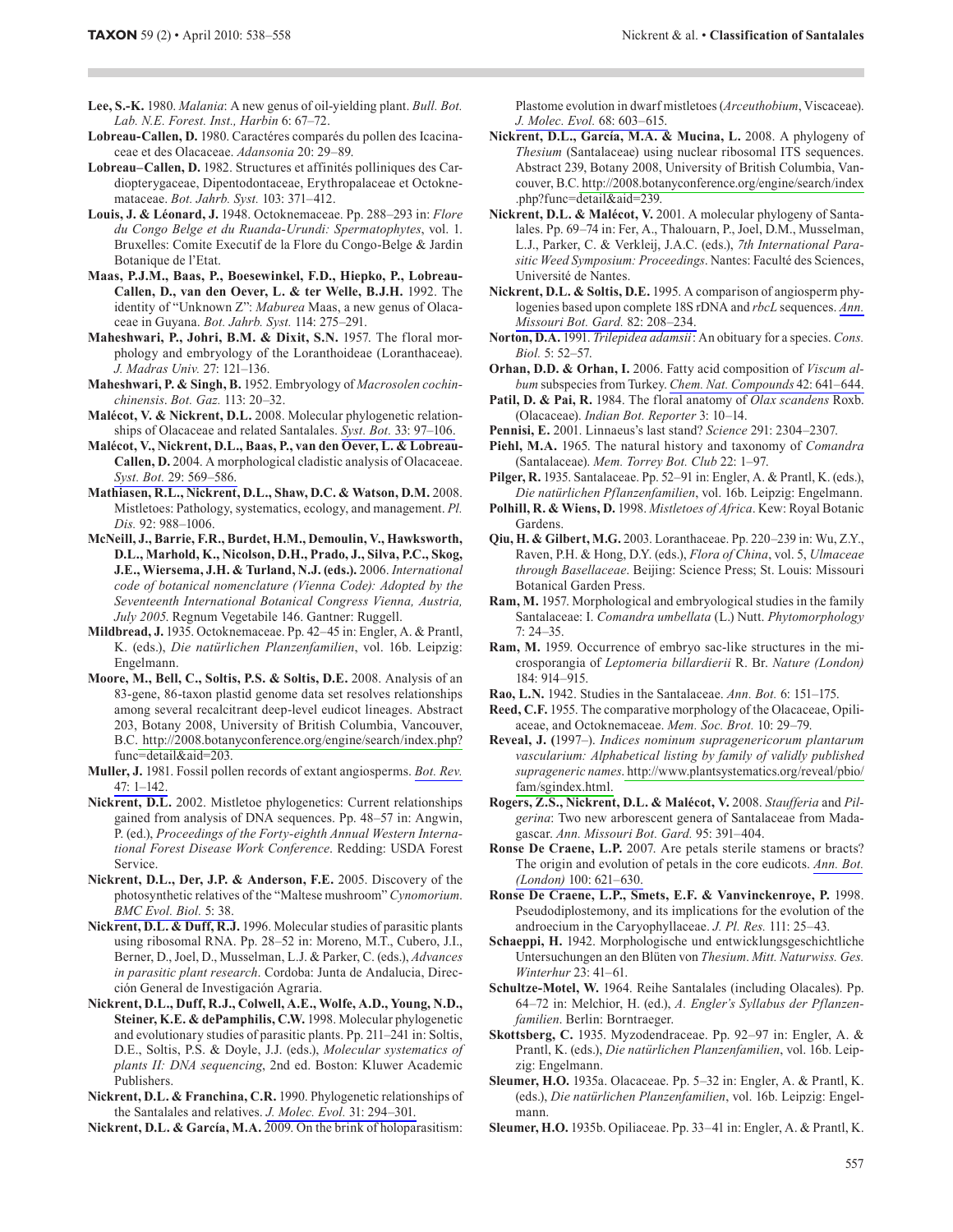- **Lee, S.-K.** 1980. *Malania*: A new genus of oil-yielding plant. *Bull. Bot. Lab. N.E. Forest. Inst., Harbin* 6: 67-72.
- **Lobreau-Callen, D.** 1980. Caractéres comparés du pollen des Icacinaceae et des Olacaceae. Adansonia 20: 29-89.
- Lobreau-Callen, D. 1982. Structures et affinités polliniques des Cardiopterygaceae, Dipentodontaceae, Erythropalaceae et Octoknemataceae. *Bot. Jahrb. Syst.* 103: 371-412.
- Louis, J. & Léonard, J. 1948. Octoknemaceae. Pp. 288-293 in: *Flore du Congo Belge et du Ruanda-Urundi: Spermatophytes*, vol. 1. Bruxelles: Comite Executif de la Flore du Congo-Belge & Jardin Botanique de l'Etat.
- **Maas, P.J.M., Baas, P., Boesewinkel, F.D., Hiepko, P., Lobreau-Callen, D., van den Oever, L. & ter Welle, B.J.H.** 1992. The identity of "Unknown Z": Maburea Maas, a new genus of Olacaceae in Guyana. *Bot. Jahrb. Syst.* 114: 275-291.
- **Maheshwari, P., Johri, B.M. & Dixit, S.N.** 1957. The floral morphology and embryology of the Loranthoideae (Loranthaceae). *J. Madras Univ.* 27: 121-136.
- **Maheshwari, P. & Singh, B.** 1952. Embryology of *Macrosolen cochinchinensis. Bot. Gaz.* 113: 20-32.
- **Malécot, V. & Nickrent, D.L.** 2008. Molecular phylogenetic relationships of Olacaceae and related Santalales. *Syst. Bot.* 33: 97–106.
- **Malécot, V., Nickrent, D.L., Baas, P., van den Oever, L. & Lobreau-Callen, D.** 2004. A morphological cladistic analysis of Olacaceae. *Syst. Bot.* 29: 569-586.
- **Mathiasen, R.L., Nickrent, D.L., Shaw, D.C. & Watson, D.M.** 2008. Mistletoes: Pathology, systematics, ecology, and management. *Pl. Dis.* 92: 988-1006.
- **McNeill, J., Barrie, F.R., Burdet, H.M., Demoulin, V., Hawksworth, D.L., Marhold, K., Nicolson, D.H., Prado, J., Silva, P.C., Skog, J.E., Wiersema, J.H. & Turland, N.J. (eds.).** 2006. *International code of botanical nomenclature (Vienna Code): Adopted by the Seventeenth International Botanical Congress Vienna, Austria, July 2005*. Regnum Vegetabile 146. Gantner: Ruggell.
- Mildbread, J. 1935. Octoknemaceae. Pp. 42-45 in: Engler, A. & Prantl, K. (eds.), *Die natürlichen Planzenfamilien*, vol. 16b. Leipzig: Engelmann.
- **Moore, M., Bell, C., Soltis, P.S. & Soltis, D.E.** 2008. Analysis of an 83-gene, 86-taxon plastid genome data set resolves relationships among several recalcitrant deep-level eudicot lineages. Abstract 203, Botany 2008, University of British Columbia, Vancouver, B.C. http://2008.botanyconference.org/engine/search/index.php? func=detail&aid=203.
- **Muller, J.** 1981. Fossil pollen records of extant angiosperms. *Bot. Rev.* 47: 1-142.
- **Nickrent, D.L.** 2002. Mistletoe phylogenetics: Current relationships gained from analysis of DNA sequences. Pp. 48-57 in: Angwin, P. (ed.), *Proceedings of the Forty-eighth Annual Western International Forest Disease Work Conference*. Redding: USDA Forest Service.
- **Nickrent, D.L., Der, J.P. & Anderson, F.E.** 2005. Discovery of the photosynthetic relatives of the "Maltese mushroom" *Cynomorium*. *BMC Evol. Biol.* 5: 38.
- **Nickrent, D.L. & Duff, R.J.** 1996. Molecular studies of parasitic plants using ribosomal RNA. Pp. 28-52 in: Moreno, M.T., Cubero, J.I., Berner, D., Joel, D., Musselman, L.J. & Parker, C. (eds.), *Advances in parasitic plant research*. Cordoba: Junta de Andalucia, Dirección General de Investigación Agraria.
- **Nickrent, D.L., Duff, R.J., Colwell, A.E., Wolfe, A.D., Young, N.D., Steiner, K.E. & dePamphilis, C.W.** 1998. Molecular phylogenetic and evolutionary studies of parasitic plants. Pp. 211-241 in: Soltis, D.E., Soltis, P.S. & Doyle, J.J. (eds.), *Molecular systematics of plants II: DNA sequencing*, 2nd ed. Boston: Kluwer Academic Publishers.
- **Nickrent, D.L. & Franchina, C.R.** 1990. Phylogenetic relationships of the Santalales and relatives. *J. Molec. Evol.* 31: 294-301.
- **Nickrent, D.L. & García, M.A.** 2009. On the brink of holoparasitism:

Plastome evolution in dwarf mistletoes (*Arceuthobium*, Viscaceae). *J. Molec. Evol.* 68: 603-615.

- Nickrent, D.L., García, M.A. & Mucina, L. 2008. A phylogeny of *Thesium* (Santalaceae) using nuclear ribosomal ITS sequences. Abstract 239, Botany 2008, University of British Columbia, Vancouver, B.C. http://2008.botanyconference.org/engine/search/index .php?func=detail&aid=239.
- **Nickrent, D.L. & Malécot, V.** 2001. A molecular phylogeny of Santalales. Pp. 69-74 in: Fer, A., Thalouarn, P., Joel, D.M., Musselman, L.J., Parker, C. & Verkleij, J.A.C. (eds.), *7th International Parasitic Weed Symposium: Proceedings*. Nantes: Faculté des Sciences, Université de Nantes.
- **Nickrent, D.L. & Soltis, D.E.** 1995. A comparison of angiosperm phylogenies based upon complete 18S rDNA and *rbcL* sequences. *Ann. Missouri Bot. Gard.* 82: 208-234.
- **Norton, D.A.** 1991. *Trilepidea adamsii*: An obituary for a species. *Cons. Biol.* 5: 52–57.
- **Orhan, D.D. & Orhan, I.** 2006. Fatty acid composition of *Viscum album* subspecies from Turkey. *Chem. Nat. Compounds* 42: 641–644.
- **Patil, D. & Pai, R.** 1984. The floral anatomy of *Olax scandens* Roxb. (Olacaceae). *Indian Bot. Reporter* 3: 10-14.
- Pennisi, E. 2001. Linnaeus's last stand? *Science* 291: 2304-2307.
- **Piehl, M.A.** 1965. The natural history and taxonomy of *Comandra* (Santalaceae). Mem. Torrey Bot. Club 22: 1-97.
- Pilger, R. 1935. Santalaceae. Pp. 52-91 in: Engler, A. & Prantl, K. (eds.), *Die natürlichen Pflanzenfamilien*, vol. 16b. Leipzig: Engelmann.
- **Polhill, R. & Wiens, D.** 1998. *Mistletoes of Africa*. Kew: Royal Botanic Gardens.
- Qiu, H. & Gilbert, M.G. 2003. Loranthaceae. Pp. 220-239 in: Wu, Z.Y., Raven, P.H. & Hong, D.Y. (eds.), *Flora of China*, vol. 5, *Ulmaceae through Basellaceae*. Beijing: Science Press; St. Louis: Missouri Botanical Garden Press.
- **Ram, M.** 1957. Morphological and embryological studies in the family Santalaceae: I. *Comandra umbellata* (L.) Nutt. *Phytomorphology*  $7: 24 - 35.$
- **Ram, M.** 1959. Occurrence of embryo sac-like structures in the microsporangia of *Leptomeria billardierii* R. Br. *Nature (London)* 184: 914-915.
- **Rao, L.N.** 1942. Studies in the Santalaceae. *Ann. Bot.* 6: 151–175.
- **Reed, C.F.** 1955. The comparative morphology of the Olacaceae, Opiliaceae, and Octoknemaceae. Mem. Soc. Brot. 10: 29-79.
- Reveal, J. (1997–). *Indices nominum supragenericorum plantarum vascularium: Alphabetical listing by family of validly published suprageneric names*. http://www.plantsystematics.org/reveal/pbio/ fam/sgindex.html.
- **Rogers, Z.S., Nickrent, D.L. & Malécot, V.** 2008. *Staufferia* and *Pilgerina*: Two new arborescent genera of Santalaceae from Madagascar. Ann. Missouri Bot. Gard. 95: 391-404.
- **Ronse De Craene, L.P.** 2007. Are petals sterile stamens or bracts? The origin and evolution of petals in the core eudicots. *Ann. Bot. (London)* 100: 621-630.
- **Ronse De Craene, L.P., Smets, E.F. & Vanvinckenroye, P.** 1998. Pseudodiplostemony, and its implications for the evolution of the androecium in the Caryophyllaceae. *J. Pl. Res.* 111: 25–43.
- **Schaeppi, H.** 1942. Morphologische und entwicklungsgeschichtliche Untersuchungen an den Blüten von *Thesium*. *Mitt. Naturwiss. Ges. Winterhur* 23: 41-61.
- **Schultze-Motel, W.** 1964. Reihe Santalales (including Olacales). Pp. 64–72 in: Melchior, H. (ed.), *A. Engler's Syllabus der Pflanzenfamilien*. Berlin: Borntraeger.
- Skottsberg, C. 1935. Myzodendraceae. Pp. 92-97 in: Engler, A. & Prantl, K. (eds.), *Die natürlichen Planzenfamilien*, vol. 16b. Leipzig: Engelmann.
- **Sleumer, H.O.** 1935a. Olacaceae. Pp. 5–32 in: Engler, A. & Prantl, K. (eds.), *Die natürlichen Planzenfamilien*, vol. 16b. Leipzig: Engelmann.
- **Sleumer, H.O.** 1935b. Opiliaceae. Pp. 33-41 in: Engler, A. & Prantl, K.